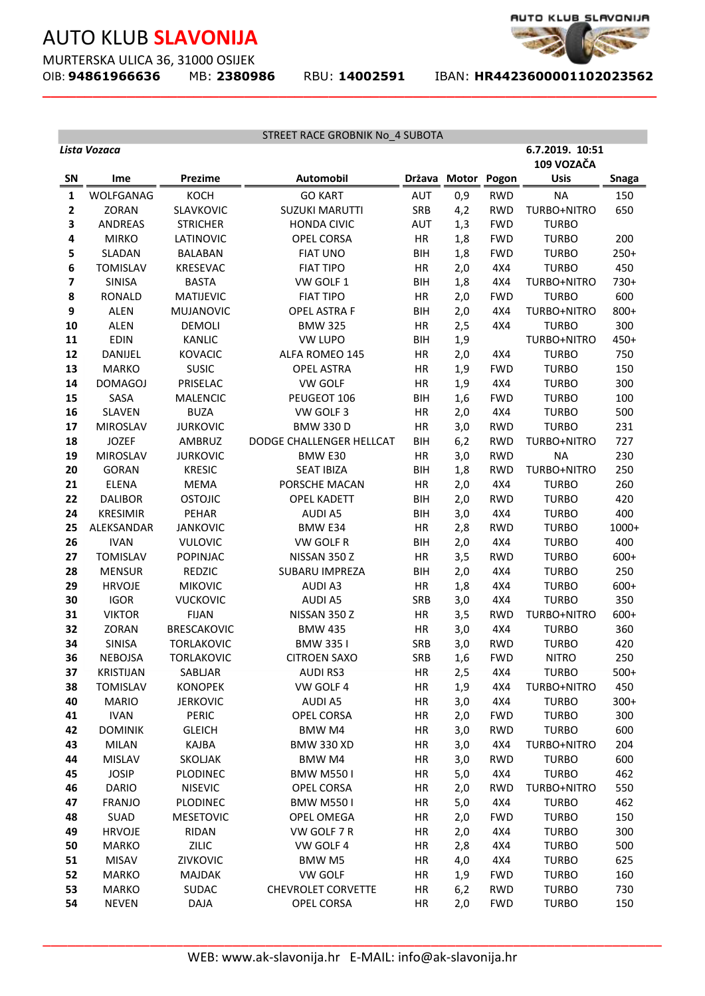MURTERSKA ULICA 36, 31000 OSIJEK<br>OIB: **94861966636** MB: 2380986

**\_\_\_\_\_\_\_\_\_\_\_\_\_\_\_\_\_\_\_\_\_\_\_\_\_\_\_\_\_\_\_\_\_\_\_\_\_\_\_\_\_\_\_\_\_\_\_\_\_\_\_\_\_\_\_\_\_\_\_\_\_\_\_\_\_\_\_\_\_\_\_\_\_**

OIB: **94861966636** MB: **2380986** RBU: **14002591** IBAN: **HR4423600001102023562** 

AUTO KLUB\_SLAVONIJA

|                         | Lista Vozaca                    |                               | STREET RACE GROBNIK No_4 SUBOTA                       |                  |              |                   | 6.7.2019. 10:51              |              |
|-------------------------|---------------------------------|-------------------------------|-------------------------------------------------------|------------------|--------------|-------------------|------------------------------|--------------|
|                         |                                 |                               |                                                       |                  |              |                   | 109 VOZAČA                   |              |
| <b>SN</b>               | Ime                             | <b>Prezime</b>                | <b>Automobil</b>                                      |                  | Država Motor | Pogon             | <b>Usis</b>                  | <b>Snaga</b> |
| 1                       | WOLFGANAG                       | KOCH                          | <b>GO KART</b>                                        | <b>AUT</b>       | 0,9          | <b>RWD</b>        | <b>NA</b>                    | 150          |
| $\mathbf{2}$            | <b>ZORAN</b>                    | SLAVKOVIC                     | <b>SUZUKI MARUTTI</b>                                 | SRB              | 4,2          | <b>RWD</b>        | TURBO+NITRO                  | 650          |
| 3                       | <b>ANDREAS</b>                  | <b>STRICHER</b>               | <b>HONDA CIVIC</b>                                    | <b>AUT</b>       | 1,3          | <b>FWD</b>        | <b>TURBO</b>                 |              |
| 4                       | <b>MIRKO</b>                    | LATINOVIC                     | <b>OPEL CORSA</b>                                     | HR               | 1,8          | <b>FWD</b>        | <b>TURBO</b>                 | 200          |
| 5                       | SLADAN                          | <b>BALABAN</b>                | <b>FIAT UNO</b>                                       | <b>BIH</b>       | 1,8          | <b>FWD</b>        | <b>TURBO</b>                 | $250+$       |
| 6                       | <b>TOMISLAV</b>                 | <b>KRESEVAC</b>               | <b>FIAT TIPO</b>                                      | HR               | 2,0          | 4X4               | <b>TURBO</b>                 | 450          |
| $\overline{\mathbf{z}}$ | <b>SINISA</b>                   | <b>BASTA</b>                  | VW GOLF 1                                             | <b>BIH</b>       | 1,8          | 4X4               | TURBO+NITRO                  | 730+         |
| 8                       | <b>RONALD</b>                   | MATIJEVIC                     | <b>FIAT TIPO</b>                                      | HR               | 2,0          | <b>FWD</b>        | <b>TURBO</b>                 | 600          |
| 9                       | <b>ALEN</b>                     | MUJANOVIC                     | <b>OPEL ASTRA F</b>                                   | <b>BIH</b>       | 2,0          | 4X4               | TURBO+NITRO                  | 800+         |
| 10                      | <b>ALEN</b>                     | <b>DEMOLI</b>                 | <b>BMW 325</b>                                        | HR               | 2,5          | 4X4               | <b>TURBO</b>                 | 300          |
| 11                      | <b>EDIN</b>                     | KANLIC                        | <b>VW LUPO</b>                                        | <b>BIH</b>       | 1,9          |                   | TURBO+NITRO                  | $450+$       |
| 12                      | <b>DANIJEL</b>                  | <b>KOVACIC</b>                | ALFA ROMEO 145                                        | HR               | 2,0          | 4X4               | <b>TURBO</b>                 | 750          |
| 13                      | <b>MARKO</b>                    | <b>SUSIC</b>                  | <b>OPEL ASTRA</b>                                     | HR               | 1,9          | <b>FWD</b>        | <b>TURBO</b>                 | 150          |
| 14                      | <b>DOMAGOJ</b>                  | PRISELAC                      | VW GOLF                                               | HR               | 1,9          | 4X4               | <b>TURBO</b>                 | 300          |
| 15                      | SASA                            | <b>MALENCIC</b>               | PEUGEOT 106                                           | <b>BIH</b>       | 1,6          | <b>FWD</b>        | <b>TURBO</b>                 | 100          |
| 16                      | <b>SLAVEN</b>                   | <b>BUZA</b>                   | VW GOLF 3                                             | HR               | 2,0          | 4X4               | <b>TURBO</b>                 | 500          |
| 17                      | <b>MIROSLAV</b>                 | <b>JURKOVIC</b>               | <b>BMW 330 D</b>                                      | HR               | 3,0          | <b>RWD</b>        | <b>TURBO</b>                 | 231          |
| 18                      | <b>JOZEF</b>                    | AMBRUZ                        | DODGE CHALLENGER HELLCAT                              | <b>BIH</b>       | 6,2          | <b>RWD</b>        | TURBO+NITRO                  | 727          |
| 19<br>20                | <b>MIROSLAV</b><br><b>GORAN</b> | <b>JURKOVIC</b>               | BMW E30<br><b>SEAT IBIZA</b>                          | HR               | 3,0          | <b>RWD</b>        | <b>NA</b><br>TURBO+NITRO     | 230          |
|                         |                                 | <b>KRESIC</b>                 |                                                       | <b>BIH</b>       | 1,8          | <b>RWD</b>        |                              | 250          |
| 21<br>22                | <b>ELENA</b><br><b>DALIBOR</b>  | <b>MEMA</b><br><b>OSTOJIC</b> | PORSCHE MACAN<br><b>OPEL KADETT</b>                   | HR<br><b>BIH</b> | 2,0          | 4X4<br><b>RWD</b> | <b>TURBO</b><br><b>TURBO</b> | 260<br>420   |
| 24                      | <b>KRESIMIR</b>                 | PEHAR                         | <b>AUDI A5</b>                                        | BIH              | 2,0<br>3,0   | 4X4               | <b>TURBO</b>                 | 400          |
| 25                      | ALEKSANDAR                      | <b>JANKOVIC</b>               | BMW E34                                               | HR               | 2,8          | <b>RWD</b>        | <b>TURBO</b>                 | 1000+        |
| 26                      | <b>IVAN</b>                     | <b>VULOVIC</b>                | VW GOLF R                                             | BIH              | 2,0          | 4X4               | <b>TURBO</b>                 | 400          |
| 27                      | <b>TOMISLAV</b>                 | <b>POPINJAC</b>               | NISSAN 350 Z                                          | HR               | 3,5          | <b>RWD</b>        | <b>TURBO</b>                 | $600+$       |
| 28                      | <b>MENSUR</b>                   | REDZIC                        | <b>SUBARU IMPREZA</b>                                 | BIH              | 2,0          | 4X4               | <b>TURBO</b>                 | 250          |
| 29                      | <b>HRVOJE</b>                   | <b>MIKOVIC</b>                | <b>AUDI A3</b>                                        | HR               | 1,8          | 4X4               | <b>TURBO</b>                 | $600+$       |
| 30                      | <b>IGOR</b>                     | <b>VUCKOVIC</b>               | <b>AUDI A5</b>                                        | <b>SRB</b>       | 3,0          | 4X4               | <b>TURBO</b>                 | 350          |
| 31                      | <b>VIKTOR</b>                   | <b>FIJAN</b>                  | NISSAN 350 Z                                          | HR               | 3,5          | <b>RWD</b>        | TURBO+NITRO                  | $600+$       |
| 32                      | ZORAN                           | <b>BRESCAKOVIC</b>            | <b>BMW 435</b>                                        | HR               | 3,0          | 4X4               | <b>TURBO</b>                 | 360          |
| 34                      | <b>SINISA</b>                   | <b>TORLAKOVIC</b>             | <b>BMW 3351</b>                                       | SRB              | 3,0          | <b>RWD</b>        | <b>TURBO</b>                 | 420          |
| 36                      | <b>NEBOJSA</b>                  | <b>TORLAKOVIC</b>             | <b>CITROEN SAXO</b>                                   | SRB              | 1,6          | <b>FWD</b>        | <b>NITRO</b>                 | 250          |
| 37                      | <b>KRISTIJAN</b>                | SABLJAR                       | <b>AUDI RS3</b>                                       | HR               | 2,5          | 4X4               | <b>TURBO</b>                 | $500+$       |
| 38                      | <b>TOMISLAV</b>                 | <b>KONOPEK</b>                | VW GOLF 4                                             | HR               | 1,9          | 4X4               | TURBO+NITRO                  | 450          |
| 40                      | <b>MARIO</b>                    | <b>JERKOVIC</b>               | <b>AUDI A5</b>                                        | HR               | 3,0          | 4X4               | <b>TURBO</b>                 | $300+$       |
| 41                      | <b>IVAN</b>                     | PERIC                         | OPEL CORSA                                            | HR               | 2,0          | <b>FWD</b>        | <b>TURBO</b>                 | 300          |
| 42                      | <b>DOMINIK</b>                  | <b>GLEICH</b>                 | BMW M4                                                | HR               | 3,0          | <b>RWD</b>        | <b>TURBO</b>                 | 600          |
| 43                      | <b>MILAN</b>                    | KAJBA                         | <b>BMW 330 XD</b>                                     | HR               | 3,0          | 4X4               | TURBO+NITRO                  | 204          |
| 44                      | <b>MISLAV</b>                   | SKOLJAK                       | BMW M4                                                | HR               | 3,0          | <b>RWD</b>        | <b>TURBO</b>                 | 600          |
| 45                      | <b>JOSIP</b>                    | PLODINEC                      | <b>BMW M5501</b>                                      | HR               | 5,0          | 4X4               | <b>TURBO</b>                 | 462          |
| 46                      | <b>DARIO</b>                    | <b>NISEVIC</b>                | OPEL CORSA                                            | HR               | 2,0          | <b>RWD</b>        | TURBO+NITRO                  | 550          |
| 47                      | <b>FRANJO</b>                   | PLODINEC                      | <b>BMW M5501</b>                                      | HR               | 5,0          | 4X4               | <b>TURBO</b>                 | 462          |
| 48                      | SUAD                            | <b>MESETOVIC</b>              | OPEL OMEGA                                            | HR               | 2,0          | <b>FWD</b>        | <b>TURBO</b>                 | 150          |
| 49                      | <b>HRVOJE</b>                   | <b>RIDAN</b>                  | VW GOLF 7 R                                           | HR               | 2,0          | 4X4               | <b>TURBO</b>                 | 300          |
| 50                      | <b>MARKO</b>                    | ZILIC                         | VW GOLF 4                                             | HR               | 2,8          | 4X4               | <b>TURBO</b>                 | 500          |
| 51                      | <b>MISAV</b>                    | ZIVKOVIC                      | BMW M5                                                | HR               | 4,0          | 4X4               | <b>TURBO</b>                 | 625          |
| 52                      | <b>MARKO</b>                    | <b>MAJDAK</b>                 | VW GOLF                                               | HR               | 1,9          | <b>FWD</b>        | <b>TURBO</b>                 | 160          |
| 53                      | <b>MARKO</b>                    | <b>SUDAC</b>                  | <b>CHEVROLET CORVETTE</b>                             | HR               | 6,2          | <b>RWD</b>        | <b>TURBO</b>                 | 730          |
| 54                      | <b>NEVEN</b>                    | <b>DAJA</b>                   | OPEL CORSA                                            | HR               | 2,0          | <b>FWD</b>        | <b>TURBO</b>                 | 150          |
|                         |                                 |                               |                                                       |                  |              |                   |                              |              |
|                         |                                 |                               |                                                       |                  |              |                   |                              |              |
|                         |                                 |                               | WEB: www.ak-slavonija.hr E-MAIL: info@ak-slavonija.hr |                  |              |                   |                              |              |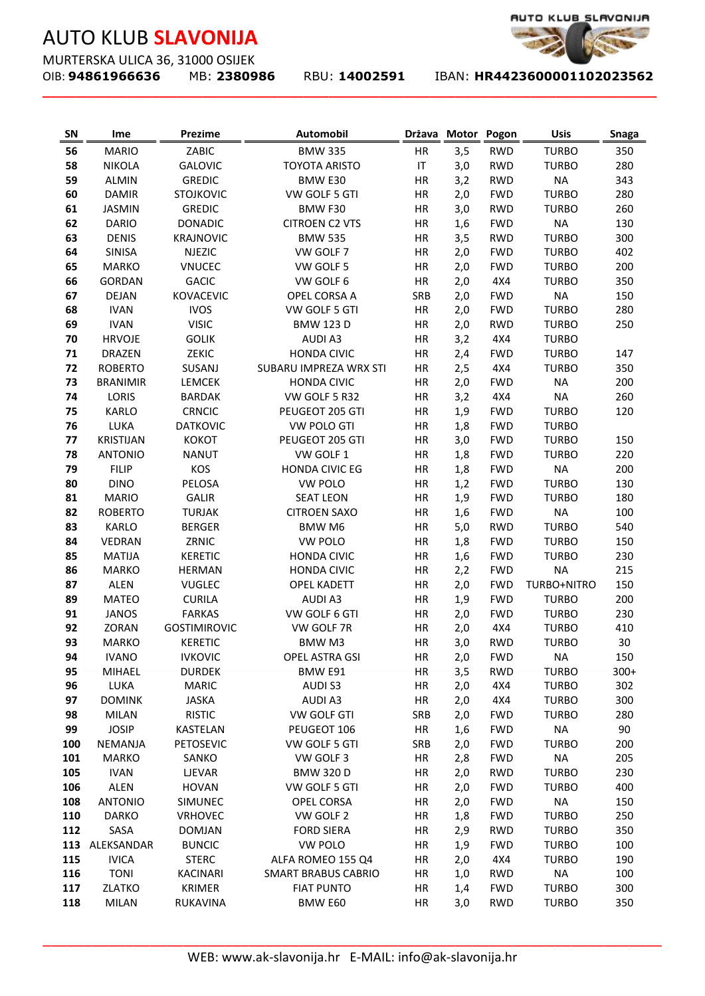MURTERSKA ULICA 36, 31000 OSIJEK<br>OIB: **94861966636** MB: 2380986

**\_\_\_\_\_\_\_\_\_\_\_\_\_\_\_\_\_\_\_\_\_\_\_\_\_\_\_\_\_\_\_\_\_\_\_\_\_\_\_\_\_\_\_\_\_\_\_\_\_\_\_\_\_\_\_\_\_\_\_\_\_\_\_\_\_\_\_\_\_\_\_\_\_**



| SN         | Ime                        | Prezime                       | <b>Automobil</b>                                      |            | Država Motor | Pogon             | <b>Usis</b>                  | <b>Snaga</b> |
|------------|----------------------------|-------------------------------|-------------------------------------------------------|------------|--------------|-------------------|------------------------------|--------------|
| 56         | <b>MARIO</b>               | ZABIC                         | <b>BMW 335</b>                                        | HR         | 3,5          | <b>RWD</b>        | <b>TURBO</b>                 | 350          |
| 58         | <b>NIKOLA</b>              | <b>GALOVIC</b>                | <b>TOYOTA ARISTO</b>                                  | IT         | 3,0          | <b>RWD</b>        | <b>TURBO</b>                 | 280          |
| 59         | <b>ALMIN</b>               | <b>GREDIC</b>                 | BMW E30                                               | HR         | 3,2          | <b>RWD</b>        | <b>NA</b>                    | 343          |
| 60         | <b>DAMIR</b>               | <b>STOJKOVIC</b>              | VW GOLF 5 GTI                                         | HR         | 2,0          | <b>FWD</b>        | <b>TURBO</b>                 | 280          |
| 61         | <b>JASMIN</b>              | <b>GREDIC</b>                 | BMW F30                                               | HR         | 3,0          | <b>RWD</b>        | <b>TURBO</b>                 | 260          |
| 62         | <b>DARIO</b>               | <b>DONADIC</b>                | <b>CITROEN C2 VTS</b>                                 | HR         | 1,6          | <b>FWD</b>        | <b>NA</b>                    | 130          |
| 63         | <b>DENIS</b>               | <b>KRAJNOVIC</b>              | <b>BMW 535</b>                                        | HR         | 3,5          | <b>RWD</b>        | <b>TURBO</b>                 | 300          |
| 64         | <b>SINISA</b>              | <b>NJEZIC</b>                 | VW GOLF 7                                             | HR         | 2,0          | <b>FWD</b>        | <b>TURBO</b>                 | 402          |
| 65         | <b>MARKO</b>               | <b>VNUCEC</b>                 | VW GOLF 5                                             | HR         | 2,0          | <b>FWD</b>        | <b>TURBO</b>                 | 200          |
| 66         | GORDAN                     | <b>GACIC</b>                  | VW GOLF 6                                             | HR         | 2,0          | 4X4               | <b>TURBO</b>                 | 350          |
| 67         | <b>DEJAN</b>               | <b>KOVACEVIC</b>              | OPEL CORSA A                                          | SRB        | 2,0          | <b>FWD</b>        | <b>NA</b>                    | 150          |
| 68         | <b>IVAN</b>                | <b>IVOS</b>                   | VW GOLF 5 GTI                                         | HR         | 2,0          | <b>FWD</b>        | <b>TURBO</b>                 | 280          |
| 69         | <b>IVAN</b>                | <b>VISIC</b>                  | <b>BMW 123 D</b>                                      | HR         | 2,0          | <b>RWD</b>        | <b>TURBO</b>                 | 250          |
| 70         | <b>HRVOJE</b>              | <b>GOLIK</b>                  | <b>AUDIA3</b>                                         | HR         | 3,2          | 4X4               | <b>TURBO</b>                 |              |
| 71         | <b>DRAZEN</b>              | ZEKIC                         | <b>HONDA CIVIC</b>                                    | HR         | 2,4          | <b>FWD</b>        | <b>TURBO</b>                 | 147          |
| 72         | <b>ROBERTO</b>             | SUSANJ                        | SUBARU IMPREZA WRX STI                                | HR         | 2,5          | 4X4               | <b>TURBO</b>                 | 350          |
| 73         | <b>BRANIMIR</b>            | LEMCEK                        | <b>HONDA CIVIC</b>                                    | HR         | 2,0          | <b>FWD</b>        | <b>NA</b>                    | 200          |
| 74         | LORIS                      | <b>BARDAK</b>                 | VW GOLF 5 R32                                         | HR         | 3,2          | 4X4               | <b>NA</b>                    | 260          |
| 75         | <b>KARLO</b>               | <b>CRNCIC</b>                 | PEUGEOT 205 GTI                                       | HR         | 1,9          | <b>FWD</b>        | <b>TURBO</b>                 | 120          |
| 76         | LUKA                       | <b>DATKOVIC</b>               | <b>VW POLO GTI</b>                                    | HR         | 1,8          | <b>FWD</b>        | <b>TURBO</b>                 |              |
| 77         | <b>KRISTIJAN</b>           | <b>KOKOT</b>                  | PEUGEOT 205 GTI                                       | HR         | 3,0          | <b>FWD</b>        | <b>TURBO</b>                 | 150          |
| 78         | <b>ANTONIO</b>             | <b>NANUT</b>                  | VW GOLF 1                                             | HR         | 1,8          | <b>FWD</b>        | <b>TURBO</b>                 | 220          |
| 79         | <b>FILIP</b>               | KOS                           | <b>HONDA CIVIC EG</b>                                 | HR         | 1,8          | <b>FWD</b>        | <b>NA</b>                    | 200          |
| 80         | <b>DINO</b>                | PELOSA                        | VW POLO                                               | HR         | 1,2          | <b>FWD</b>        | <b>TURBO</b>                 | 130          |
| 81         | <b>MARIO</b>               | <b>GALIR</b>                  | <b>SEAT LEON</b>                                      | HR         | 1,9          | <b>FWD</b>        | <b>TURBO</b>                 | 180          |
| 82         | <b>ROBERTO</b>             | <b>TURJAK</b>                 | <b>CITROEN SAXO</b>                                   | HR         | 1,6          | <b>FWD</b>        | <b>NA</b>                    | 100          |
| 83         | <b>KARLO</b>               | <b>BERGER</b>                 | BMW M6                                                | HR         | 5,0          | <b>RWD</b>        | <b>TURBO</b>                 | 540          |
| 84         | VEDRAN                     | ZRNIC                         | VW POLO                                               | HR         | 1,8          | <b>FWD</b>        | <b>TURBO</b>                 | 150          |
| 85         | <b>MATIJA</b>              | <b>KERETIC</b>                | <b>HONDA CIVIC</b>                                    | HR         | 1,6          | <b>FWD</b>        | <b>TURBO</b>                 | 230          |
| 86         | <b>MARKO</b>               | <b>HERMAN</b>                 | <b>HONDA CIVIC</b>                                    | HR         | 2,2          | <b>FWD</b>        | <b>NA</b>                    | 215          |
| 87         | <b>ALEN</b>                | <b>VUGLEC</b>                 | <b>OPEL KADETT</b>                                    | HR         | 2,0          | <b>FWD</b>        | TURBO+NITRO                  | 150          |
| 89         | <b>MATEO</b>               | <b>CURILA</b>                 | <b>AUDIA3</b>                                         | HR         | 1,9          | <b>FWD</b>        | <b>TURBO</b>                 | 200          |
| 91         | <b>JANOS</b>               | <b>FARKAS</b>                 | VW GOLF 6 GTI                                         | HR         | 2,0          | <b>FWD</b>        | <b>TURBO</b>                 | 230          |
| 92         | ZORAN                      | <b>GOSTIMIROVIC</b>           | VW GOLF 7R                                            | HR         | 2,0          | 4X4               | <b>TURBO</b>                 | 410          |
| 93         | <b>MARKO</b>               | <b>KERETIC</b>                | BMW M3                                                | HR         | 3,0          | <b>RWD</b>        | <b>TURBO</b>                 | 30           |
| 94         | <b>IVANO</b>               | <b>IVKOVIC</b>                | OPEL ASTRA GSI                                        | HR         | 2,0          | <b>FWD</b>        | <b>NA</b>                    | 150          |
| 95         | MIHAEL                     | <b>DURDEK</b>                 | BMW E91                                               | HR         | 3,5          | <b>RWD</b>        | <b>TURBO</b>                 | $300+$       |
| 96         | LUKA                       | <b>MARIC</b>                  | AUDI S3                                               | HR         | 2,0          | 4X4               | <b>TURBO</b>                 | 302          |
| 97         | <b>DOMINK</b>              | <b>JASKA</b>                  | <b>AUDIA3</b>                                         | HR         | 2,0          | 4X4               | <b>TURBO</b>                 | 300          |
| 98         | <b>MILAN</b>               | <b>RISTIC</b>                 | <b>VW GOLF GTI</b>                                    | SRB        | 2,0          | <b>FWD</b>        | <b>TURBO</b>                 | 280          |
| 99         | <b>JOSIP</b>               | KASTELAN                      | PEUGEOT 106                                           | HR         | 1,6          | <b>FWD</b>        | <b>NA</b>                    | 90           |
| 100        | NEMANJA                    | PETOSEVIC                     | VW GOLF 5 GTI                                         | <b>SRB</b> | 2,0          | <b>FWD</b>        | <b>TURBO</b>                 | 200          |
| 101        | <b>MARKO</b>               | SANKO                         | VW GOLF 3                                             | HR         | 2,8          | <b>FWD</b>        | <b>NA</b>                    | 205          |
| 105        | <b>IVAN</b>                | LJEVAR                        | <b>BMW 320 D</b>                                      | HR         | 2,0          | <b>RWD</b>        | <b>TURBO</b>                 | 230          |
| 106        | <b>ALEN</b>                | <b>HOVAN</b>                  | VW GOLF 5 GTI                                         | HR         | 2,0          | <b>FWD</b>        | <b>TURBO</b>                 | 400          |
| 108        | <b>ANTONIO</b>             | <b>SIMUNEC</b>                | OPEL CORSA                                            | HR         | 2,0          | <b>FWD</b>        | <b>NA</b>                    | 150          |
| 110        | <b>DARKO</b>               | <b>VRHOVEC</b>                | VW GOLF 2                                             | HR         | 1,8          | <b>FWD</b>        | <b>TURBO</b>                 | 250          |
| 112        | SASA                       | <b>DOMJAN</b>                 | <b>FORD SIERA</b>                                     | HR         | 2,9          | <b>RWD</b>        | <b>TURBO</b>                 | 350          |
| 113<br>115 | ALEKSANDAR<br><b>IVICA</b> | <b>BUNCIC</b><br><b>STERC</b> | VW POLO<br>ALFA ROMEO 155 Q4                          | HR<br>HR   | 1,9          | <b>FWD</b><br>4X4 | <b>TURBO</b><br><b>TURBO</b> | 100<br>190   |
| 116        | <b>TONI</b>                | KACINARI                      | <b>SMART BRABUS CABRIO</b>                            | HR         | 2,0<br>1,0   | <b>RWD</b>        | <b>NA</b>                    | 100          |
| 117        | ZLATKO                     | <b>KRIMER</b>                 | <b>FIAT PUNTO</b>                                     | HR         | 1,4          | <b>FWD</b>        | <b>TURBO</b>                 | 300          |
| 118        | <b>MILAN</b>               | RUKAVINA                      | BMW E60                                               | HR         | 3,0          | <b>RWD</b>        | <b>TURBO</b>                 | 350          |
|            |                            |                               |                                                       |            |              |                   |                              |              |
|            |                            |                               |                                                       |            |              |                   |                              |              |
|            |                            |                               |                                                       |            |              |                   |                              |              |
|            |                            |                               | WEB: www.ak-slavonija.hr E-MAIL: info@ak-slavonija.hr |            |              |                   |                              |              |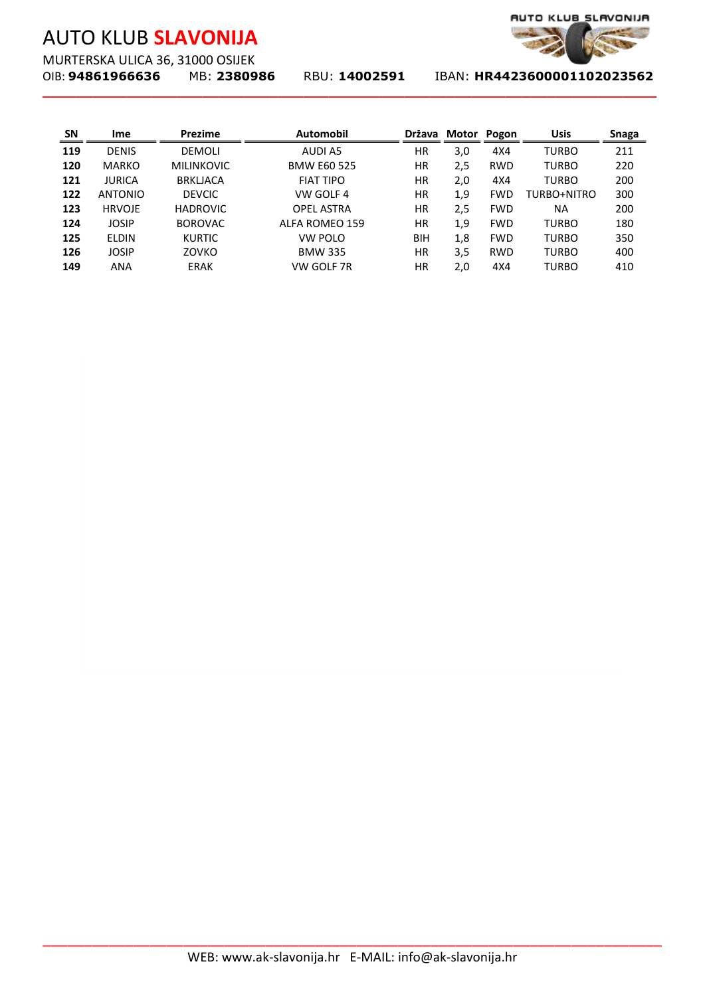MURTERSKA ULICA 36, 31000 OSIJEK<br>OIB: **94861966636** MB: 2380986

**\_\_\_\_\_\_\_\_\_\_\_\_\_\_\_\_\_\_\_\_\_\_\_\_\_\_\_\_\_\_\_\_\_\_\_\_\_\_\_\_\_\_\_\_\_\_\_\_\_\_\_\_\_\_\_\_\_\_\_\_\_\_\_\_\_\_\_\_\_\_\_\_\_**



| SN  | Ime            | Prezime         | Automobil                                             |          | Država Motor Pogon |            | <b>Usis</b>  | <b>Snaga</b> |
|-----|----------------|-----------------|-------------------------------------------------------|----------|--------------------|------------|--------------|--------------|
| 119 | DENIS          | DEMOLI          | <b>AUDI A5</b>                                        | $\sf HR$ | 3,0                | 4X4        | <b>TURBO</b> | 211          |
| 120 | MARKO          | MILINKOVIC      | <b>BMW E60 525</b>                                    | HR       | 2,5                | <b>RWD</b> | <b>TURBO</b> | 220          |
| 121 | <b>JURICA</b>  | <b>BRKLJACA</b> | <b>FIAT TIPO</b>                                      | HR       | 2,0                | 4X4        | <b>TURBO</b> | 200          |
| 122 | <b>ANTONIO</b> | <b>DEVCIC</b>   | VW GOLF 4                                             | HR       | 1,9                | <b>FWD</b> | TURBO+NITRO  | 300          |
| 123 | <b>HRVOJE</b>  | <b>HADROVIC</b> | <b>OPEL ASTRA</b>                                     | HR       | 2,5                | <b>FWD</b> | $\sf NA$     | 200          |
| 124 | JOSIP          | <b>BOROVAC</b>  | ALFA ROMEO 159                                        | $\sf HR$ | 1,9                | <b>FWD</b> | <b>TURBO</b> | 180          |
| 125 | ELDIN          | <b>KURTIC</b>   | VW POLO                                               | BIH      | 1,8                | <b>FWD</b> | <b>TURBO</b> | 350          |
| 126 | <b>JOSIP</b>   | ZOVKO           | <b>BMW 335</b>                                        | $\sf HR$ | 3,5                | <b>RWD</b> | <b>TURBO</b> | 400          |
| 149 | ANA            | ERAK            | VW GOLF 7R                                            | $\sf HR$ | 2,0                | 4X4        | <b>TURBO</b> | 410          |
|     |                |                 |                                                       |          |                    |            |              |              |
|     |                |                 |                                                       |          |                    |            |              |              |
|     |                |                 |                                                       |          |                    |            |              |              |
|     |                |                 | WEB: www.ak-slavonija.hr E-MAIL: info@ak-slavonija.hr |          |                    |            |              |              |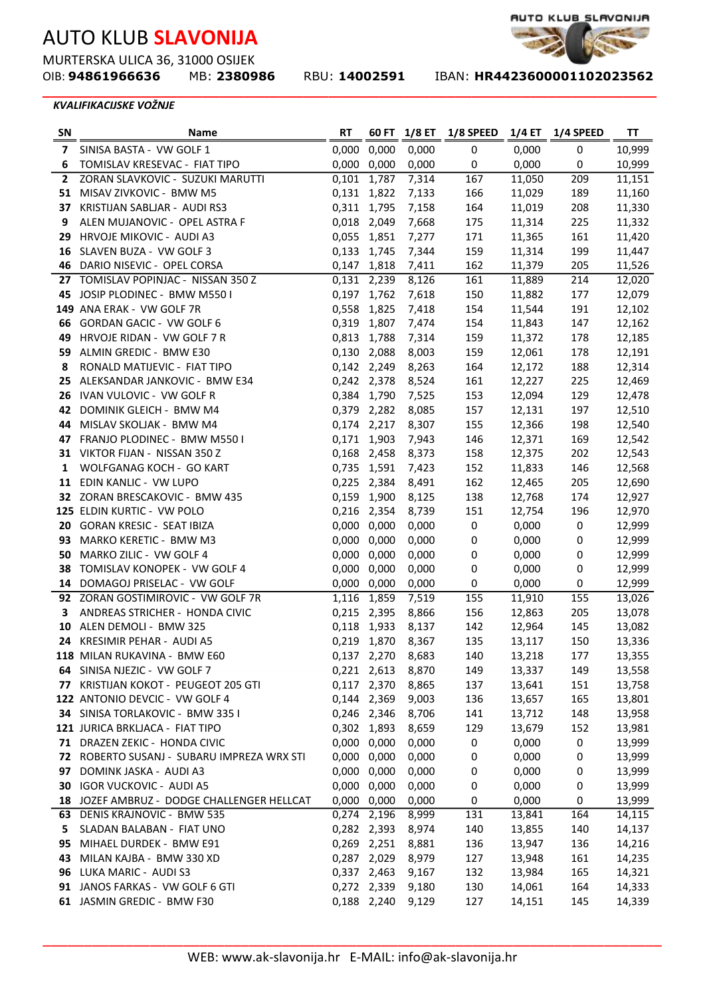MURTERSKA ULICA 36, 31000 OSIJEK<br>OIB: **94861966636** MB: 2380986

**\_\_\_\_\_\_\_\_\_\_\_\_\_\_\_\_\_\_\_\_\_\_\_\_\_\_\_\_\_\_\_\_\_\_\_\_\_\_\_\_\_\_\_\_\_\_\_\_\_\_\_\_\_\_\_\_\_\_\_\_\_\_\_\_\_\_\_\_\_\_\_\_\_**

OIB: **94861966636** MB: **2380986** RBU: **14002591** IBAN: **HR4423600001102023562** 

#### *KVALIFIKACIJSKE VOŽNJE*

| <b>SN</b> | Name                                              | <b>RT</b>      | 60 FT          | 1/8 ET         | 1/8 SPEED | 1/4 ET         | 1/4 SPEED | ΤT               |
|-----------|---------------------------------------------------|----------------|----------------|----------------|-----------|----------------|-----------|------------------|
| 7         | SINISA BASTA - VW GOLF 1                          | 0,000          | 0,000          | 0,000          | 0         | 0,000          | 0         | 10,999           |
| 6         | TOMISLAV KRESEVAC - FIAT TIPO                     | 0,000          | 0,000          | 0,000          | 0         | 0,000          | 0         | 10,999           |
| 2         | ZORAN SLAVKOVIC - SUZUKI MARUTTI                  | 0,101          | 1,787          | 7,314          | 167       | 11,050         | 209       | 11,151           |
| 51        | MISAV ZIVKOVIC - BMW M5                           | 0,131          | 1,822          | 7,133          | 166       | 11,029         | 189       | 11,160           |
| 37        | KRISTIJAN SABLJAR - AUDI RS3                      | 0,311          | 1,795          | 7,158          | 164       | 11,019         | 208       | 11,330           |
| 9         | ALEN MUJANOVIC - OPEL ASTRA F                     | 0,018          | 2,049          | 7,668          | 175       | 11,314         | 225       | 11,332           |
| 29        | HRVOJE MIKOVIC - AUDI A3                          | 0,055          | 1,851          | 7,277          | 171       | 11,365         | 161       | 11,420           |
| 16        | SLAVEN BUZA - VW GOLF 3                           | 0,133          | 1,745          | 7,344          | 159       | 11,314         | 199       | 11,447           |
| 46        | DARIO NISEVIC - OPEL CORSA                        | 0,147          | 1,818          | 7,411          | 162       | 11,379         | 205       | 11,526           |
| 27        | TOMISLAV POPINJAC - NISSAN 350 Z                  | 0,131          | 2,239          | 8,126          | 161       | 11,889         | 214       | 12,020           |
| 45        | JOSIP PLODINEC - BMW M550 I                       | 0,197          | 1,762          | 7,618          | 150       | 11,882         | 177       | 12,079           |
|           | 149 ANA ERAK - VW GOLF 7R                         | 0,558          | 1,825          | 7,418          | 154       | 11,544         | 191       | 12,102           |
| 66        | GORDAN GACIC - VW GOLF 6                          | 0,319          | 1,807          | 7,474          | 154       | 11,843         | 147       | 12,162           |
| 49        | HRVOJE RIDAN - VW GOLF 7 R                        | 0,813          | 1,788          | 7,314          | 159       | 11,372         | 178       | 12,185           |
| 59        | ALMIN GREDIC - BMW E30                            | 0,130          | 2,088          | 8,003          | 159       | 12,061         | 178       | 12,191           |
| 8         | RONALD MATIJEVIC - FIAT TIPO                      | 0,142 2,249    |                | 8,263          | 164       | 12,172         | 188       | 12,314           |
| 25        | ALEKSANDAR JANKOVIC - BMW E34                     | 0,242          | 2,378          | 8,524          | 161       | 12,227         | 225       | 12,469           |
| 26        | IVAN VULOVIC - VW GOLF R                          | 0,384          | 1,790          | 7,525          | 153       | 12,094         | 129       | 12,478           |
| 42        | DOMINIK GLEICH - BMW M4                           | 0,379          | 2,282          | 8,085          | 157       | 12,131         | 197       | 12,510           |
| 44        | MISLAV SKOLJAK - BMW M4                           | 0,174          | 2,217          | 8,307          | 155       | 12,366         | 198       | 12,540           |
| 47        | FRANJO PLODINEC - BMW M5501                       | 0,171          | 1,903          | 7,943          | 146       | 12,371         | 169       | 12,542           |
|           | 31 VIKTOR FIJAN - NISSAN 350 Z                    | 0,168          | 2,458          | 8,373          | 158       | 12,375         | 202       | 12,543           |
| 1         | WOLFGANAG KOCH - GO KART                          | 0,735          | 1,591          | 7,423          | 152       | 11,833         | 146       | 12,568           |
| 11        | EDIN KANLIC - VW LUPO                             | 0,225          | 2,384          | 8,491          | 162       | 12,465         | 205       | 12,690           |
|           | 32 ZORAN BRESCAKOVIC - BMW 435                    | 0,159          | 1,900          | 8,125          | 138       | 12,768         | 174       | 12,927           |
|           | 125 ELDIN KURTIC - VW POLO                        | 0,216          | 2,354          | 8,739          | 151       | 12,754         | 196       | 12,970           |
| 93        | 20 GORAN KRESIC - SEAT IBIZA                      | 0,000<br>0,000 | 0,000          | 0,000          | 0         | 0,000<br>0,000 | $\pmb{0}$ | 12,999<br>12,999 |
| 50        | MARKO KERETIC - BMW M3<br>MARKO ZILIC - VW GOLF 4 | 0,000          | 0,000<br>0,000 | 0,000<br>0,000 | 0<br>0    | 0,000          | 0<br>0    | 12,999           |
| 38        | TOMISLAV KONOPEK - VW GOLF 4                      | 0,000          | 0,000          | 0,000          | 0         | 0,000          | 0         | 12,999           |
|           | 14 DOMAGOJ PRISELAC - VW GOLF                     | 0,000          | 0,000          | 0,000          | 0         | 0,000          | 0         | 12,999           |
|           | 92 ZORAN GOSTIMIROVIC - VW GOLF 7R                | 1,116          | 1,859          | 7,519          | 155       | 11,910         | 155       | 13,026           |
| 3         | ANDREAS STRICHER - HONDA CIVIC                    | 0,215          | 2,395          | 8,866          | 156       | 12,863         | 205       | 13,078           |
| 10        | ALEN DEMOLI - BMW 325                             | 0,118          | 1,933          | 8,137          | 142       | 12,964         | 145       | 13,082           |
| 24.       | KRESIMIR PEHAR - AUDI A5                          | 0,219          | 1,870          | 8,367          | 135       | 13,117         | 150       | 13,336           |
|           | 118 MILAN RUKAVINA - BMW E60                      |                | 0,137 2,270    | 8,683          | 140       | 13,218         | 177       | 13,355           |
|           | 64 SINISA NJEZIC - VW GOLF 7                      |                | 0,221 2,613    | 8,870          | 149       | 13,337         | 149       | 13,558           |
| 77        | KRISTIJAN KOKOT - PEUGEOT 205 GTI                 |                | 0,117 2,370    | 8,865          | 137       | 13,641         | 151       | 13,758           |
|           | 122 ANTONIO DEVCIC - VW GOLF 4                    | 0,144 2,369    |                | 9,003          | 136       | 13,657         | 165       | 13,801           |
|           | 34 SINISA TORLAKOVIC - BMW 335 I                  | 0,246 2,346    |                | 8,706          | 141       | 13,712         | 148       | 13,958           |
|           | 121 JURICA BRKLJACA - FIAT TIPO                   | 0,302 1,893    |                | 8,659          | 129       | 13,679         | 152       | 13,981           |
| 71        | DRAZEN ZEKIC - HONDA CIVIC                        | 0,000 0,000    |                | 0,000          | 0         | 0,000          | $\pmb{0}$ | 13,999           |
| 72        | ROBERTO SUSANJ - SUBARU IMPREZA WRX STI           | 0,000 0,000    |                | 0,000          | 0         | 0,000          | 0         | 13,999           |
| 97        | DOMINK JASKA - AUDI A3                            |                | 0,000 0,000    | 0,000          | 0         | 0,000          | 0         | 13,999           |
| 30        | <b>IGOR VUCKOVIC - AUDI A5</b>                    | 0,000          | 0,000          | 0,000          | 0         | 0,000          | 0         | 13,999           |
|           | 18 JOZEF AMBRUZ - DODGE CHALLENGER HELLCAT        | 0,000          | 0,000          | 0,000          | $\pmb{0}$ | 0,000          | $\pmb{0}$ | 13,999           |
| 63        | DENIS KRAJNOVIC - BMW 535                         |                | 0,274 2,196    | 8,999          | 131       | 13,841         | 164       | 14,115           |
| 5.        | SLADAN BALABAN - FIAT UNO                         |                | 0,282 2,393    | 8,974          | 140       | 13,855         | 140       | 14,137           |
| 95        | MIHAEL DURDEK - BMW E91                           |                | 0,269 2,251    | 8,881          | 136       | 13,947         | 136       | 14,216           |
| 43        | MILAN KAJBA - BMW 330 XD                          |                | 0,287 2,029    | 8,979          | 127       | 13,948         | 161       | 14,235           |
|           | 96 LUKA MARIC - AUDI S3                           |                | 0,337 2,463    | 9,167          | 132       | 13,984         | 165       | 14,321           |
|           | 91 JANOS FARKAS - VW GOLF 6 GTI                   |                | 0,272 2,339    | 9,180          | 130       | 14,061         | 164       | 14,333           |
|           | 61 JASMIN GREDIC - BMW F30                        |                | 0,188 2,240    | 9,129          | 127       | 14,151         | 145       | 14,339           |

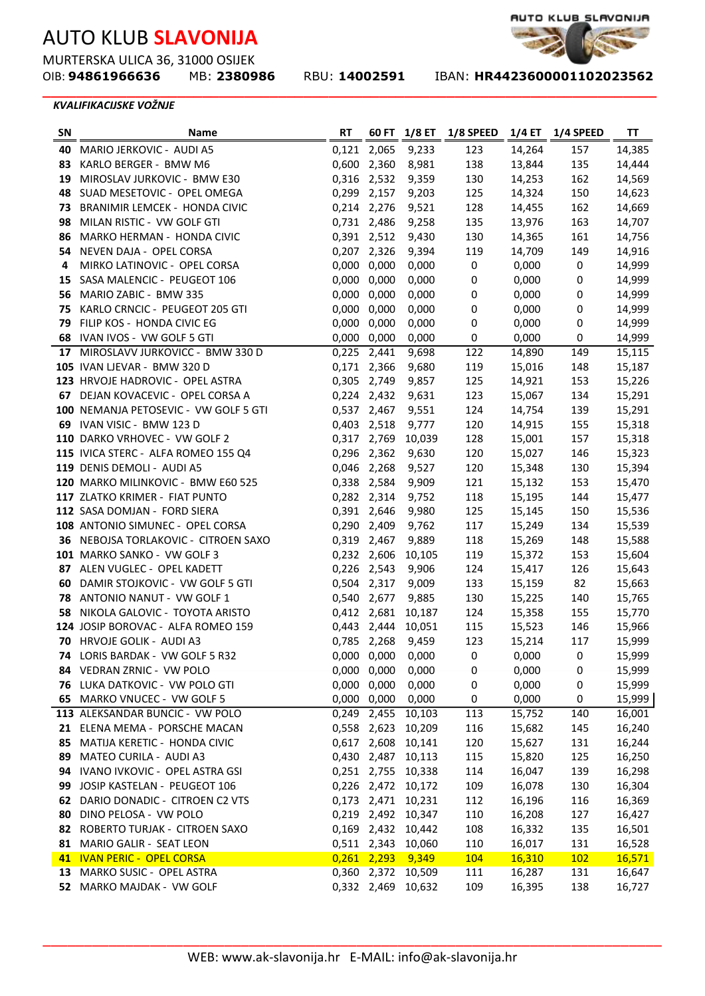MURTERSKA ULICA 36, 31000 OSIJEK<br>OIB: **94861966636** MB: 2380986

**\_\_\_\_\_\_\_\_\_\_\_\_\_\_\_\_\_\_\_\_\_\_\_\_\_\_\_\_\_\_\_\_\_\_\_\_\_\_\_\_\_\_\_\_\_\_\_\_\_\_\_\_\_\_\_\_\_\_\_\_\_\_\_\_\_\_\_\_\_\_\_\_\_**

OIB: **94861966636** MB: **2380986** RBU: **14002591** IBAN: **HR4423600001102023562** 

AUTO KLUB\_SLAVONIJA

#### *KVALIFIKACIJSKE VOŽNJE*

| 0,121 2,065<br>9,233<br>123<br>14,264<br>157<br>14,385<br>40<br>MARIO JERKOVIC - AUDI A5<br>0,600 2,360<br>8,981<br>138<br>14,444<br>83 KARLO BERGER - BMW M6<br>13,844<br>135<br>0,316 2,532<br>9,359<br>14,569<br>19 MIROSLAV JURKOVIC - BMW E30<br>130<br>14,253<br>162<br>0,299 2,157<br>9,203<br>125<br>150<br>14,623<br>48 SUAD MESETOVIC - OPEL OMEGA<br>14,324<br>0,214 2,276<br>9,521<br>128<br>162<br>14,669<br>73 BRANIMIR LEMCEK - HONDA CIVIC<br>14,455<br>98 MILAN RISTIC - VW GOLF GTI<br>9,258<br>135<br>163<br>14,707<br>0,731 2,486<br>13,976<br>9,430<br>130<br>161<br>14,756<br>86<br>MARKO HERMAN - HONDA CIVIC<br>0,391 2,512<br>14,365<br>0,207 2,326<br>9,394<br>119<br>149<br>14,916<br>54<br>NEVEN DAJA - OPEL CORSA<br>14,709<br>MIRKO LATINOVIC - OPEL CORSA<br>0,000<br>0,000<br>0,000<br>$\pmb{0}$<br>0,000<br>14,999<br>0<br>4<br>0,000<br>0,000<br>0,000<br>0,000<br>14,999<br>SASA MALENCIC - PEUGEOT 106<br>0<br>0<br>15<br>0,000<br>0,000<br>0,000<br>0,000<br>14,999<br>56<br>MARIO ZABIC - BMW 335<br>0<br>0<br>0,000<br>0,000<br>0,000<br>0,000<br>14,999<br>75<br>KARLO CRNCIC - PEUGEOT 205 GTI<br>0<br>0<br>0,000<br>0,000<br>14,999<br>79<br>FILIP KOS - HONDA CIVIC EG<br>0,000<br>0,000<br>0<br>0<br>IVAN IVOS - VW GOLF 5 GTI<br>0,000 0,000<br>0,000<br>0,000<br>14,999<br>68<br>0<br>0<br>9,698<br>17 MIROSLAVV JURKOVICC - BMW 330 D<br>0,225<br>2,441<br>122<br>14,890<br>149<br>105 IVAN LJEVAR - BMW 320 D<br>0,171 2,366<br>9,680<br>15,187<br>119<br>15,016<br>148<br>0,305<br>9,857<br>15,226<br>123 HRVOJE HADROVIC - OPEL ASTRA<br>2,749<br>125<br>14,921<br>153<br>15,291<br>67 DEJAN KOVACEVIC - OPEL CORSA A<br>0,224 2,432<br>9,631<br>123<br>15,067<br>134<br>15,291<br>100 NEMANJA PETOSEVIC - VW GOLF 5 GTI<br>0,537 2,467<br>9,551<br>124<br>14,754<br>139<br>69 IVAN VISIC - BMW 123 D<br>0,403 2,518<br>9,777<br>120<br>155<br>15,318<br>14,915<br>110 DARKO VRHOVEC - VW GOLF 2<br>0,317<br>10,039<br>128<br>15,001<br>157<br>15,318<br>2,769<br>115 IVICA STERC - ALFA ROMEO 155 Q4<br>9,630<br>120<br>15,027<br>146<br>15,323<br>0,296<br>2,362<br>119 DENIS DEMOLI - AUDI A5<br>0,046 2,268<br>9,527<br>120<br>15,394<br>15,348<br>130<br>120 MARKO MILINKOVIC - BMW E60 525<br>9,909<br>121<br>15,470<br>0,338 2,584<br>15,132<br>153<br>15,477<br>117 ZLATKO KRIMER - FIAT PUNTO<br>0,282 2,314<br>9,752<br>118<br>15,195<br>144<br>15,536<br>112 SASA DOMJAN - FORD SIERA<br>0,391 2,646<br>9,980<br>125<br>15,145<br>150<br>15,539<br>108 ANTONIO SIMUNEC - OPEL CORSA<br>0,290<br>9,762<br>117<br>2,409<br>15,249<br>134<br>9,889<br>15,269<br>15,588<br>36 NEBOJSA TORLAKOVIC - CITROEN SAXO<br>0,319<br>2,467<br>118<br>148<br>15,604<br>101 MARKO SANKO - VW GOLF 3<br>0,232 2,606<br>10,105<br>119<br>15,372<br>153<br>9,906<br>126<br>15,643<br>87 ALEN VUGLEC - OPEL KADETT<br>0,226 2,543<br>124<br>15,417<br>0,504 2,317<br>9,009<br>133<br>15,159<br>82<br>15,663<br><b>60 DAMIR STOJKOVIC - VW GOLF 5 GTI</b><br>0,540 2,677<br>9,885<br>130<br>15,225<br>15,765<br>78 ANTONIO NANUT - VW GOLF 1<br>140<br>10,187<br>15,770<br>58 NIKOLA GALOVIC - TOYOTA ARISTO<br>0,412 2,681<br>124<br>15,358<br>155<br>124 JOSIP BOROVAC - ALFA ROMEO 159<br>0,443 2,444<br>15,523<br>146<br>15,966<br>10,051<br>115<br>70 HRVOJE GOLIK - AUDI A3<br>0,785 2,268<br>123<br>15,214<br>15,999<br>9,459<br>117<br>LORIS BARDAK - VW GOLF 5 R32<br>0,000 0,000 0,000<br>0,000<br>$\mathbf 0$<br>15,999<br>$\mathbf 0$<br>74<br>0,000<br>0,000<br>84 VEDRAN ZRNIC - VW POLO<br>0,000 0,000<br>0<br>15,999<br>0<br>0,000 0,000<br>0,000<br>0,000<br>15,999<br>76 LUKA DATKOVIC - VW POLO GTI<br>0<br>0<br>0,000 0,000<br>0,000<br>0,000<br>65<br>MARKO VNUCEC - VW GOLF 5<br>0<br>15,999<br>0<br>113 ALEKSANDAR BUNCIC - VW POLO<br>15,752<br>0,249 2,455<br>10,103<br>113<br>140<br>16,001<br>21 ELENA MEMA - PORSCHE MACAN<br>10,209<br>16,240<br>0,558 2,623<br>116<br>15,682<br>145<br>MATIJA KERETIC - HONDA CIVIC<br>120<br>16,244<br>0,617<br>2,608<br>10,141<br>15,627<br>131<br>85<br>MATEO CURILA - AUDI A3<br>125<br>16,250<br>0,430 2,487<br>10,113<br>115<br>15,820<br>89<br>16,298<br>IVANO IVKOVIC - OPEL ASTRA GSI<br>0,251 2,755<br>10,338<br>114<br>16,047<br>139<br>94<br>JOSIP KASTELAN - PEUGEOT 106<br>0,226 2,472<br>16,304<br>10,172<br>109<br>16,078<br>130<br>99<br>DARIO DONADIC - CITROEN C2 VTS<br>0,173 2,471<br>10,231<br>112<br>16,369<br>16,196<br>116<br>62<br>DINO PELOSA - VW POLO<br>10,347<br>110<br>16,208<br>127<br>16,427<br>0,219 2,492<br>80<br>ROBERTO TURJAK - CITROEN SAXO<br>0,169 2,432<br>10,442<br>108<br>16,332<br>135<br>16,501<br>82<br>MARIO GALIR - SEAT LEON<br>0,511 2,343<br>16,528<br>10,060<br>110<br>16,017<br>131<br>81<br>41 IVAN PERIC - OPEL CORSA<br>$0,261$ 2,293<br>9,349<br>104<br>16,310<br>102<br>16,571<br>13 MARKO SUSIC - OPEL ASTRA<br>0,360 2,372<br>16,647<br>10,509<br>111<br>16,287<br>131<br>0,332 2,469 | SN | Name                      | RT |        | 60 FT 1/8 ET 1/8 SPEED |        | 1/4 ET 1/4 SPEED | TΤ     |
|-------------------------------------------------------------------------------------------------------------------------------------------------------------------------------------------------------------------------------------------------------------------------------------------------------------------------------------------------------------------------------------------------------------------------------------------------------------------------------------------------------------------------------------------------------------------------------------------------------------------------------------------------------------------------------------------------------------------------------------------------------------------------------------------------------------------------------------------------------------------------------------------------------------------------------------------------------------------------------------------------------------------------------------------------------------------------------------------------------------------------------------------------------------------------------------------------------------------------------------------------------------------------------------------------------------------------------------------------------------------------------------------------------------------------------------------------------------------------------------------------------------------------------------------------------------------------------------------------------------------------------------------------------------------------------------------------------------------------------------------------------------------------------------------------------------------------------------------------------------------------------------------------------------------------------------------------------------------------------------------------------------------------------------------------------------------------------------------------------------------------------------------------------------------------------------------------------------------------------------------------------------------------------------------------------------------------------------------------------------------------------------------------------------------------------------------------------------------------------------------------------------------------------------------------------------------------------------------------------------------------------------------------------------------------------------------------------------------------------------------------------------------------------------------------------------------------------------------------------------------------------------------------------------------------------------------------------------------------------------------------------------------------------------------------------------------------------------------------------------------------------------------------------------------------------------------------------------------------------------------------------------------------------------------------------------------------------------------------------------------------------------------------------------------------------------------------------------------------------------------------------------------------------------------------------------------------------------------------------------------------------------------------------------------------------------------------------------------------------------------------------------------------------------------------------------------------------------------------------------------------------------------------------------------------------------------------------------------------------------------------------------------------------------------------------------------------------------------------------------------------------------------------------------------------------------------------------------------------------------------------------------------------------------------------------------------------------------------------------------------------------------------------------------------------------------------------------------------------------------------------------------------------------------------------------------------------------------------------------------------------------------------------------------------------------------------------------------------------------------------------------------------------------------------------------------------------------------------------------------------------------------------------------------------------------------------------------------|----|---------------------------|----|--------|------------------------|--------|------------------|--------|
|                                                                                                                                                                                                                                                                                                                                                                                                                                                                                                                                                                                                                                                                                                                                                                                                                                                                                                                                                                                                                                                                                                                                                                                                                                                                                                                                                                                                                                                                                                                                                                                                                                                                                                                                                                                                                                                                                                                                                                                                                                                                                                                                                                                                                                                                                                                                                                                                                                                                                                                                                                                                                                                                                                                                                                                                                                                                                                                                                                                                                                                                                                                                                                                                                                                                                                                                                                                                                                                                                                                                                                                                                                                                                                                                                                                                                                                                                                                                                                                                                                                                                                                                                                                                                                                                                                                                                                                                                                                                                                                                                                                                                                                                                                                                                                                                                                                                                                                                                             |    |                           |    |        |                        |        |                  |        |
|                                                                                                                                                                                                                                                                                                                                                                                                                                                                                                                                                                                                                                                                                                                                                                                                                                                                                                                                                                                                                                                                                                                                                                                                                                                                                                                                                                                                                                                                                                                                                                                                                                                                                                                                                                                                                                                                                                                                                                                                                                                                                                                                                                                                                                                                                                                                                                                                                                                                                                                                                                                                                                                                                                                                                                                                                                                                                                                                                                                                                                                                                                                                                                                                                                                                                                                                                                                                                                                                                                                                                                                                                                                                                                                                                                                                                                                                                                                                                                                                                                                                                                                                                                                                                                                                                                                                                                                                                                                                                                                                                                                                                                                                                                                                                                                                                                                                                                                                                             |    |                           |    |        |                        |        |                  |        |
|                                                                                                                                                                                                                                                                                                                                                                                                                                                                                                                                                                                                                                                                                                                                                                                                                                                                                                                                                                                                                                                                                                                                                                                                                                                                                                                                                                                                                                                                                                                                                                                                                                                                                                                                                                                                                                                                                                                                                                                                                                                                                                                                                                                                                                                                                                                                                                                                                                                                                                                                                                                                                                                                                                                                                                                                                                                                                                                                                                                                                                                                                                                                                                                                                                                                                                                                                                                                                                                                                                                                                                                                                                                                                                                                                                                                                                                                                                                                                                                                                                                                                                                                                                                                                                                                                                                                                                                                                                                                                                                                                                                                                                                                                                                                                                                                                                                                                                                                                             |    |                           |    |        |                        |        |                  |        |
|                                                                                                                                                                                                                                                                                                                                                                                                                                                                                                                                                                                                                                                                                                                                                                                                                                                                                                                                                                                                                                                                                                                                                                                                                                                                                                                                                                                                                                                                                                                                                                                                                                                                                                                                                                                                                                                                                                                                                                                                                                                                                                                                                                                                                                                                                                                                                                                                                                                                                                                                                                                                                                                                                                                                                                                                                                                                                                                                                                                                                                                                                                                                                                                                                                                                                                                                                                                                                                                                                                                                                                                                                                                                                                                                                                                                                                                                                                                                                                                                                                                                                                                                                                                                                                                                                                                                                                                                                                                                                                                                                                                                                                                                                                                                                                                                                                                                                                                                                             |    |                           |    |        |                        |        |                  |        |
|                                                                                                                                                                                                                                                                                                                                                                                                                                                                                                                                                                                                                                                                                                                                                                                                                                                                                                                                                                                                                                                                                                                                                                                                                                                                                                                                                                                                                                                                                                                                                                                                                                                                                                                                                                                                                                                                                                                                                                                                                                                                                                                                                                                                                                                                                                                                                                                                                                                                                                                                                                                                                                                                                                                                                                                                                                                                                                                                                                                                                                                                                                                                                                                                                                                                                                                                                                                                                                                                                                                                                                                                                                                                                                                                                                                                                                                                                                                                                                                                                                                                                                                                                                                                                                                                                                                                                                                                                                                                                                                                                                                                                                                                                                                                                                                                                                                                                                                                                             |    |                           |    |        |                        |        |                  |        |
|                                                                                                                                                                                                                                                                                                                                                                                                                                                                                                                                                                                                                                                                                                                                                                                                                                                                                                                                                                                                                                                                                                                                                                                                                                                                                                                                                                                                                                                                                                                                                                                                                                                                                                                                                                                                                                                                                                                                                                                                                                                                                                                                                                                                                                                                                                                                                                                                                                                                                                                                                                                                                                                                                                                                                                                                                                                                                                                                                                                                                                                                                                                                                                                                                                                                                                                                                                                                                                                                                                                                                                                                                                                                                                                                                                                                                                                                                                                                                                                                                                                                                                                                                                                                                                                                                                                                                                                                                                                                                                                                                                                                                                                                                                                                                                                                                                                                                                                                                             |    |                           |    |        |                        |        |                  |        |
|                                                                                                                                                                                                                                                                                                                                                                                                                                                                                                                                                                                                                                                                                                                                                                                                                                                                                                                                                                                                                                                                                                                                                                                                                                                                                                                                                                                                                                                                                                                                                                                                                                                                                                                                                                                                                                                                                                                                                                                                                                                                                                                                                                                                                                                                                                                                                                                                                                                                                                                                                                                                                                                                                                                                                                                                                                                                                                                                                                                                                                                                                                                                                                                                                                                                                                                                                                                                                                                                                                                                                                                                                                                                                                                                                                                                                                                                                                                                                                                                                                                                                                                                                                                                                                                                                                                                                                                                                                                                                                                                                                                                                                                                                                                                                                                                                                                                                                                                                             |    |                           |    |        |                        |        |                  |        |
|                                                                                                                                                                                                                                                                                                                                                                                                                                                                                                                                                                                                                                                                                                                                                                                                                                                                                                                                                                                                                                                                                                                                                                                                                                                                                                                                                                                                                                                                                                                                                                                                                                                                                                                                                                                                                                                                                                                                                                                                                                                                                                                                                                                                                                                                                                                                                                                                                                                                                                                                                                                                                                                                                                                                                                                                                                                                                                                                                                                                                                                                                                                                                                                                                                                                                                                                                                                                                                                                                                                                                                                                                                                                                                                                                                                                                                                                                                                                                                                                                                                                                                                                                                                                                                                                                                                                                                                                                                                                                                                                                                                                                                                                                                                                                                                                                                                                                                                                                             |    |                           |    |        |                        |        |                  |        |
|                                                                                                                                                                                                                                                                                                                                                                                                                                                                                                                                                                                                                                                                                                                                                                                                                                                                                                                                                                                                                                                                                                                                                                                                                                                                                                                                                                                                                                                                                                                                                                                                                                                                                                                                                                                                                                                                                                                                                                                                                                                                                                                                                                                                                                                                                                                                                                                                                                                                                                                                                                                                                                                                                                                                                                                                                                                                                                                                                                                                                                                                                                                                                                                                                                                                                                                                                                                                                                                                                                                                                                                                                                                                                                                                                                                                                                                                                                                                                                                                                                                                                                                                                                                                                                                                                                                                                                                                                                                                                                                                                                                                                                                                                                                                                                                                                                                                                                                                                             |    |                           |    |        |                        |        |                  |        |
|                                                                                                                                                                                                                                                                                                                                                                                                                                                                                                                                                                                                                                                                                                                                                                                                                                                                                                                                                                                                                                                                                                                                                                                                                                                                                                                                                                                                                                                                                                                                                                                                                                                                                                                                                                                                                                                                                                                                                                                                                                                                                                                                                                                                                                                                                                                                                                                                                                                                                                                                                                                                                                                                                                                                                                                                                                                                                                                                                                                                                                                                                                                                                                                                                                                                                                                                                                                                                                                                                                                                                                                                                                                                                                                                                                                                                                                                                                                                                                                                                                                                                                                                                                                                                                                                                                                                                                                                                                                                                                                                                                                                                                                                                                                                                                                                                                                                                                                                                             |    |                           |    |        |                        |        |                  |        |
|                                                                                                                                                                                                                                                                                                                                                                                                                                                                                                                                                                                                                                                                                                                                                                                                                                                                                                                                                                                                                                                                                                                                                                                                                                                                                                                                                                                                                                                                                                                                                                                                                                                                                                                                                                                                                                                                                                                                                                                                                                                                                                                                                                                                                                                                                                                                                                                                                                                                                                                                                                                                                                                                                                                                                                                                                                                                                                                                                                                                                                                                                                                                                                                                                                                                                                                                                                                                                                                                                                                                                                                                                                                                                                                                                                                                                                                                                                                                                                                                                                                                                                                                                                                                                                                                                                                                                                                                                                                                                                                                                                                                                                                                                                                                                                                                                                                                                                                                                             |    |                           |    |        |                        |        |                  |        |
|                                                                                                                                                                                                                                                                                                                                                                                                                                                                                                                                                                                                                                                                                                                                                                                                                                                                                                                                                                                                                                                                                                                                                                                                                                                                                                                                                                                                                                                                                                                                                                                                                                                                                                                                                                                                                                                                                                                                                                                                                                                                                                                                                                                                                                                                                                                                                                                                                                                                                                                                                                                                                                                                                                                                                                                                                                                                                                                                                                                                                                                                                                                                                                                                                                                                                                                                                                                                                                                                                                                                                                                                                                                                                                                                                                                                                                                                                                                                                                                                                                                                                                                                                                                                                                                                                                                                                                                                                                                                                                                                                                                                                                                                                                                                                                                                                                                                                                                                                             |    |                           |    |        |                        |        |                  |        |
|                                                                                                                                                                                                                                                                                                                                                                                                                                                                                                                                                                                                                                                                                                                                                                                                                                                                                                                                                                                                                                                                                                                                                                                                                                                                                                                                                                                                                                                                                                                                                                                                                                                                                                                                                                                                                                                                                                                                                                                                                                                                                                                                                                                                                                                                                                                                                                                                                                                                                                                                                                                                                                                                                                                                                                                                                                                                                                                                                                                                                                                                                                                                                                                                                                                                                                                                                                                                                                                                                                                                                                                                                                                                                                                                                                                                                                                                                                                                                                                                                                                                                                                                                                                                                                                                                                                                                                                                                                                                                                                                                                                                                                                                                                                                                                                                                                                                                                                                                             |    |                           |    |        |                        |        |                  |        |
|                                                                                                                                                                                                                                                                                                                                                                                                                                                                                                                                                                                                                                                                                                                                                                                                                                                                                                                                                                                                                                                                                                                                                                                                                                                                                                                                                                                                                                                                                                                                                                                                                                                                                                                                                                                                                                                                                                                                                                                                                                                                                                                                                                                                                                                                                                                                                                                                                                                                                                                                                                                                                                                                                                                                                                                                                                                                                                                                                                                                                                                                                                                                                                                                                                                                                                                                                                                                                                                                                                                                                                                                                                                                                                                                                                                                                                                                                                                                                                                                                                                                                                                                                                                                                                                                                                                                                                                                                                                                                                                                                                                                                                                                                                                                                                                                                                                                                                                                                             |    |                           |    |        |                        |        |                  |        |
|                                                                                                                                                                                                                                                                                                                                                                                                                                                                                                                                                                                                                                                                                                                                                                                                                                                                                                                                                                                                                                                                                                                                                                                                                                                                                                                                                                                                                                                                                                                                                                                                                                                                                                                                                                                                                                                                                                                                                                                                                                                                                                                                                                                                                                                                                                                                                                                                                                                                                                                                                                                                                                                                                                                                                                                                                                                                                                                                                                                                                                                                                                                                                                                                                                                                                                                                                                                                                                                                                                                                                                                                                                                                                                                                                                                                                                                                                                                                                                                                                                                                                                                                                                                                                                                                                                                                                                                                                                                                                                                                                                                                                                                                                                                                                                                                                                                                                                                                                             |    |                           |    |        |                        |        |                  | 15,115 |
|                                                                                                                                                                                                                                                                                                                                                                                                                                                                                                                                                                                                                                                                                                                                                                                                                                                                                                                                                                                                                                                                                                                                                                                                                                                                                                                                                                                                                                                                                                                                                                                                                                                                                                                                                                                                                                                                                                                                                                                                                                                                                                                                                                                                                                                                                                                                                                                                                                                                                                                                                                                                                                                                                                                                                                                                                                                                                                                                                                                                                                                                                                                                                                                                                                                                                                                                                                                                                                                                                                                                                                                                                                                                                                                                                                                                                                                                                                                                                                                                                                                                                                                                                                                                                                                                                                                                                                                                                                                                                                                                                                                                                                                                                                                                                                                                                                                                                                                                                             |    |                           |    |        |                        |        |                  |        |
|                                                                                                                                                                                                                                                                                                                                                                                                                                                                                                                                                                                                                                                                                                                                                                                                                                                                                                                                                                                                                                                                                                                                                                                                                                                                                                                                                                                                                                                                                                                                                                                                                                                                                                                                                                                                                                                                                                                                                                                                                                                                                                                                                                                                                                                                                                                                                                                                                                                                                                                                                                                                                                                                                                                                                                                                                                                                                                                                                                                                                                                                                                                                                                                                                                                                                                                                                                                                                                                                                                                                                                                                                                                                                                                                                                                                                                                                                                                                                                                                                                                                                                                                                                                                                                                                                                                                                                                                                                                                                                                                                                                                                                                                                                                                                                                                                                                                                                                                                             |    |                           |    |        |                        |        |                  |        |
|                                                                                                                                                                                                                                                                                                                                                                                                                                                                                                                                                                                                                                                                                                                                                                                                                                                                                                                                                                                                                                                                                                                                                                                                                                                                                                                                                                                                                                                                                                                                                                                                                                                                                                                                                                                                                                                                                                                                                                                                                                                                                                                                                                                                                                                                                                                                                                                                                                                                                                                                                                                                                                                                                                                                                                                                                                                                                                                                                                                                                                                                                                                                                                                                                                                                                                                                                                                                                                                                                                                                                                                                                                                                                                                                                                                                                                                                                                                                                                                                                                                                                                                                                                                                                                                                                                                                                                                                                                                                                                                                                                                                                                                                                                                                                                                                                                                                                                                                                             |    |                           |    |        |                        |        |                  |        |
|                                                                                                                                                                                                                                                                                                                                                                                                                                                                                                                                                                                                                                                                                                                                                                                                                                                                                                                                                                                                                                                                                                                                                                                                                                                                                                                                                                                                                                                                                                                                                                                                                                                                                                                                                                                                                                                                                                                                                                                                                                                                                                                                                                                                                                                                                                                                                                                                                                                                                                                                                                                                                                                                                                                                                                                                                                                                                                                                                                                                                                                                                                                                                                                                                                                                                                                                                                                                                                                                                                                                                                                                                                                                                                                                                                                                                                                                                                                                                                                                                                                                                                                                                                                                                                                                                                                                                                                                                                                                                                                                                                                                                                                                                                                                                                                                                                                                                                                                                             |    |                           |    |        |                        |        |                  |        |
|                                                                                                                                                                                                                                                                                                                                                                                                                                                                                                                                                                                                                                                                                                                                                                                                                                                                                                                                                                                                                                                                                                                                                                                                                                                                                                                                                                                                                                                                                                                                                                                                                                                                                                                                                                                                                                                                                                                                                                                                                                                                                                                                                                                                                                                                                                                                                                                                                                                                                                                                                                                                                                                                                                                                                                                                                                                                                                                                                                                                                                                                                                                                                                                                                                                                                                                                                                                                                                                                                                                                                                                                                                                                                                                                                                                                                                                                                                                                                                                                                                                                                                                                                                                                                                                                                                                                                                                                                                                                                                                                                                                                                                                                                                                                                                                                                                                                                                                                                             |    |                           |    |        |                        |        |                  |        |
|                                                                                                                                                                                                                                                                                                                                                                                                                                                                                                                                                                                                                                                                                                                                                                                                                                                                                                                                                                                                                                                                                                                                                                                                                                                                                                                                                                                                                                                                                                                                                                                                                                                                                                                                                                                                                                                                                                                                                                                                                                                                                                                                                                                                                                                                                                                                                                                                                                                                                                                                                                                                                                                                                                                                                                                                                                                                                                                                                                                                                                                                                                                                                                                                                                                                                                                                                                                                                                                                                                                                                                                                                                                                                                                                                                                                                                                                                                                                                                                                                                                                                                                                                                                                                                                                                                                                                                                                                                                                                                                                                                                                                                                                                                                                                                                                                                                                                                                                                             |    |                           |    |        |                        |        |                  |        |
|                                                                                                                                                                                                                                                                                                                                                                                                                                                                                                                                                                                                                                                                                                                                                                                                                                                                                                                                                                                                                                                                                                                                                                                                                                                                                                                                                                                                                                                                                                                                                                                                                                                                                                                                                                                                                                                                                                                                                                                                                                                                                                                                                                                                                                                                                                                                                                                                                                                                                                                                                                                                                                                                                                                                                                                                                                                                                                                                                                                                                                                                                                                                                                                                                                                                                                                                                                                                                                                                                                                                                                                                                                                                                                                                                                                                                                                                                                                                                                                                                                                                                                                                                                                                                                                                                                                                                                                                                                                                                                                                                                                                                                                                                                                                                                                                                                                                                                                                                             |    |                           |    |        |                        |        |                  |        |
|                                                                                                                                                                                                                                                                                                                                                                                                                                                                                                                                                                                                                                                                                                                                                                                                                                                                                                                                                                                                                                                                                                                                                                                                                                                                                                                                                                                                                                                                                                                                                                                                                                                                                                                                                                                                                                                                                                                                                                                                                                                                                                                                                                                                                                                                                                                                                                                                                                                                                                                                                                                                                                                                                                                                                                                                                                                                                                                                                                                                                                                                                                                                                                                                                                                                                                                                                                                                                                                                                                                                                                                                                                                                                                                                                                                                                                                                                                                                                                                                                                                                                                                                                                                                                                                                                                                                                                                                                                                                                                                                                                                                                                                                                                                                                                                                                                                                                                                                                             |    |                           |    |        |                        |        |                  |        |
|                                                                                                                                                                                                                                                                                                                                                                                                                                                                                                                                                                                                                                                                                                                                                                                                                                                                                                                                                                                                                                                                                                                                                                                                                                                                                                                                                                                                                                                                                                                                                                                                                                                                                                                                                                                                                                                                                                                                                                                                                                                                                                                                                                                                                                                                                                                                                                                                                                                                                                                                                                                                                                                                                                                                                                                                                                                                                                                                                                                                                                                                                                                                                                                                                                                                                                                                                                                                                                                                                                                                                                                                                                                                                                                                                                                                                                                                                                                                                                                                                                                                                                                                                                                                                                                                                                                                                                                                                                                                                                                                                                                                                                                                                                                                                                                                                                                                                                                                                             |    |                           |    |        |                        |        |                  |        |
|                                                                                                                                                                                                                                                                                                                                                                                                                                                                                                                                                                                                                                                                                                                                                                                                                                                                                                                                                                                                                                                                                                                                                                                                                                                                                                                                                                                                                                                                                                                                                                                                                                                                                                                                                                                                                                                                                                                                                                                                                                                                                                                                                                                                                                                                                                                                                                                                                                                                                                                                                                                                                                                                                                                                                                                                                                                                                                                                                                                                                                                                                                                                                                                                                                                                                                                                                                                                                                                                                                                                                                                                                                                                                                                                                                                                                                                                                                                                                                                                                                                                                                                                                                                                                                                                                                                                                                                                                                                                                                                                                                                                                                                                                                                                                                                                                                                                                                                                                             |    |                           |    |        |                        |        |                  |        |
|                                                                                                                                                                                                                                                                                                                                                                                                                                                                                                                                                                                                                                                                                                                                                                                                                                                                                                                                                                                                                                                                                                                                                                                                                                                                                                                                                                                                                                                                                                                                                                                                                                                                                                                                                                                                                                                                                                                                                                                                                                                                                                                                                                                                                                                                                                                                                                                                                                                                                                                                                                                                                                                                                                                                                                                                                                                                                                                                                                                                                                                                                                                                                                                                                                                                                                                                                                                                                                                                                                                                                                                                                                                                                                                                                                                                                                                                                                                                                                                                                                                                                                                                                                                                                                                                                                                                                                                                                                                                                                                                                                                                                                                                                                                                                                                                                                                                                                                                                             |    |                           |    |        |                        |        |                  |        |
|                                                                                                                                                                                                                                                                                                                                                                                                                                                                                                                                                                                                                                                                                                                                                                                                                                                                                                                                                                                                                                                                                                                                                                                                                                                                                                                                                                                                                                                                                                                                                                                                                                                                                                                                                                                                                                                                                                                                                                                                                                                                                                                                                                                                                                                                                                                                                                                                                                                                                                                                                                                                                                                                                                                                                                                                                                                                                                                                                                                                                                                                                                                                                                                                                                                                                                                                                                                                                                                                                                                                                                                                                                                                                                                                                                                                                                                                                                                                                                                                                                                                                                                                                                                                                                                                                                                                                                                                                                                                                                                                                                                                                                                                                                                                                                                                                                                                                                                                                             |    |                           |    |        |                        |        |                  |        |
|                                                                                                                                                                                                                                                                                                                                                                                                                                                                                                                                                                                                                                                                                                                                                                                                                                                                                                                                                                                                                                                                                                                                                                                                                                                                                                                                                                                                                                                                                                                                                                                                                                                                                                                                                                                                                                                                                                                                                                                                                                                                                                                                                                                                                                                                                                                                                                                                                                                                                                                                                                                                                                                                                                                                                                                                                                                                                                                                                                                                                                                                                                                                                                                                                                                                                                                                                                                                                                                                                                                                                                                                                                                                                                                                                                                                                                                                                                                                                                                                                                                                                                                                                                                                                                                                                                                                                                                                                                                                                                                                                                                                                                                                                                                                                                                                                                                                                                                                                             |    |                           |    |        |                        |        |                  |        |
|                                                                                                                                                                                                                                                                                                                                                                                                                                                                                                                                                                                                                                                                                                                                                                                                                                                                                                                                                                                                                                                                                                                                                                                                                                                                                                                                                                                                                                                                                                                                                                                                                                                                                                                                                                                                                                                                                                                                                                                                                                                                                                                                                                                                                                                                                                                                                                                                                                                                                                                                                                                                                                                                                                                                                                                                                                                                                                                                                                                                                                                                                                                                                                                                                                                                                                                                                                                                                                                                                                                                                                                                                                                                                                                                                                                                                                                                                                                                                                                                                                                                                                                                                                                                                                                                                                                                                                                                                                                                                                                                                                                                                                                                                                                                                                                                                                                                                                                                                             |    |                           |    |        |                        |        |                  |        |
|                                                                                                                                                                                                                                                                                                                                                                                                                                                                                                                                                                                                                                                                                                                                                                                                                                                                                                                                                                                                                                                                                                                                                                                                                                                                                                                                                                                                                                                                                                                                                                                                                                                                                                                                                                                                                                                                                                                                                                                                                                                                                                                                                                                                                                                                                                                                                                                                                                                                                                                                                                                                                                                                                                                                                                                                                                                                                                                                                                                                                                                                                                                                                                                                                                                                                                                                                                                                                                                                                                                                                                                                                                                                                                                                                                                                                                                                                                                                                                                                                                                                                                                                                                                                                                                                                                                                                                                                                                                                                                                                                                                                                                                                                                                                                                                                                                                                                                                                                             |    |                           |    |        |                        |        |                  |        |
|                                                                                                                                                                                                                                                                                                                                                                                                                                                                                                                                                                                                                                                                                                                                                                                                                                                                                                                                                                                                                                                                                                                                                                                                                                                                                                                                                                                                                                                                                                                                                                                                                                                                                                                                                                                                                                                                                                                                                                                                                                                                                                                                                                                                                                                                                                                                                                                                                                                                                                                                                                                                                                                                                                                                                                                                                                                                                                                                                                                                                                                                                                                                                                                                                                                                                                                                                                                                                                                                                                                                                                                                                                                                                                                                                                                                                                                                                                                                                                                                                                                                                                                                                                                                                                                                                                                                                                                                                                                                                                                                                                                                                                                                                                                                                                                                                                                                                                                                                             |    |                           |    |        |                        |        |                  |        |
|                                                                                                                                                                                                                                                                                                                                                                                                                                                                                                                                                                                                                                                                                                                                                                                                                                                                                                                                                                                                                                                                                                                                                                                                                                                                                                                                                                                                                                                                                                                                                                                                                                                                                                                                                                                                                                                                                                                                                                                                                                                                                                                                                                                                                                                                                                                                                                                                                                                                                                                                                                                                                                                                                                                                                                                                                                                                                                                                                                                                                                                                                                                                                                                                                                                                                                                                                                                                                                                                                                                                                                                                                                                                                                                                                                                                                                                                                                                                                                                                                                                                                                                                                                                                                                                                                                                                                                                                                                                                                                                                                                                                                                                                                                                                                                                                                                                                                                                                                             |    |                           |    |        |                        |        |                  |        |
|                                                                                                                                                                                                                                                                                                                                                                                                                                                                                                                                                                                                                                                                                                                                                                                                                                                                                                                                                                                                                                                                                                                                                                                                                                                                                                                                                                                                                                                                                                                                                                                                                                                                                                                                                                                                                                                                                                                                                                                                                                                                                                                                                                                                                                                                                                                                                                                                                                                                                                                                                                                                                                                                                                                                                                                                                                                                                                                                                                                                                                                                                                                                                                                                                                                                                                                                                                                                                                                                                                                                                                                                                                                                                                                                                                                                                                                                                                                                                                                                                                                                                                                                                                                                                                                                                                                                                                                                                                                                                                                                                                                                                                                                                                                                                                                                                                                                                                                                                             |    |                           |    |        |                        |        |                  |        |
|                                                                                                                                                                                                                                                                                                                                                                                                                                                                                                                                                                                                                                                                                                                                                                                                                                                                                                                                                                                                                                                                                                                                                                                                                                                                                                                                                                                                                                                                                                                                                                                                                                                                                                                                                                                                                                                                                                                                                                                                                                                                                                                                                                                                                                                                                                                                                                                                                                                                                                                                                                                                                                                                                                                                                                                                                                                                                                                                                                                                                                                                                                                                                                                                                                                                                                                                                                                                                                                                                                                                                                                                                                                                                                                                                                                                                                                                                                                                                                                                                                                                                                                                                                                                                                                                                                                                                                                                                                                                                                                                                                                                                                                                                                                                                                                                                                                                                                                                                             |    |                           |    |        |                        |        |                  |        |
|                                                                                                                                                                                                                                                                                                                                                                                                                                                                                                                                                                                                                                                                                                                                                                                                                                                                                                                                                                                                                                                                                                                                                                                                                                                                                                                                                                                                                                                                                                                                                                                                                                                                                                                                                                                                                                                                                                                                                                                                                                                                                                                                                                                                                                                                                                                                                                                                                                                                                                                                                                                                                                                                                                                                                                                                                                                                                                                                                                                                                                                                                                                                                                                                                                                                                                                                                                                                                                                                                                                                                                                                                                                                                                                                                                                                                                                                                                                                                                                                                                                                                                                                                                                                                                                                                                                                                                                                                                                                                                                                                                                                                                                                                                                                                                                                                                                                                                                                                             |    |                           |    |        |                        |        |                  |        |
|                                                                                                                                                                                                                                                                                                                                                                                                                                                                                                                                                                                                                                                                                                                                                                                                                                                                                                                                                                                                                                                                                                                                                                                                                                                                                                                                                                                                                                                                                                                                                                                                                                                                                                                                                                                                                                                                                                                                                                                                                                                                                                                                                                                                                                                                                                                                                                                                                                                                                                                                                                                                                                                                                                                                                                                                                                                                                                                                                                                                                                                                                                                                                                                                                                                                                                                                                                                                                                                                                                                                                                                                                                                                                                                                                                                                                                                                                                                                                                                                                                                                                                                                                                                                                                                                                                                                                                                                                                                                                                                                                                                                                                                                                                                                                                                                                                                                                                                                                             |    |                           |    |        |                        |        |                  |        |
|                                                                                                                                                                                                                                                                                                                                                                                                                                                                                                                                                                                                                                                                                                                                                                                                                                                                                                                                                                                                                                                                                                                                                                                                                                                                                                                                                                                                                                                                                                                                                                                                                                                                                                                                                                                                                                                                                                                                                                                                                                                                                                                                                                                                                                                                                                                                                                                                                                                                                                                                                                                                                                                                                                                                                                                                                                                                                                                                                                                                                                                                                                                                                                                                                                                                                                                                                                                                                                                                                                                                                                                                                                                                                                                                                                                                                                                                                                                                                                                                                                                                                                                                                                                                                                                                                                                                                                                                                                                                                                                                                                                                                                                                                                                                                                                                                                                                                                                                                             |    |                           |    |        |                        |        |                  |        |
|                                                                                                                                                                                                                                                                                                                                                                                                                                                                                                                                                                                                                                                                                                                                                                                                                                                                                                                                                                                                                                                                                                                                                                                                                                                                                                                                                                                                                                                                                                                                                                                                                                                                                                                                                                                                                                                                                                                                                                                                                                                                                                                                                                                                                                                                                                                                                                                                                                                                                                                                                                                                                                                                                                                                                                                                                                                                                                                                                                                                                                                                                                                                                                                                                                                                                                                                                                                                                                                                                                                                                                                                                                                                                                                                                                                                                                                                                                                                                                                                                                                                                                                                                                                                                                                                                                                                                                                                                                                                                                                                                                                                                                                                                                                                                                                                                                                                                                                                                             |    |                           |    |        |                        |        |                  |        |
|                                                                                                                                                                                                                                                                                                                                                                                                                                                                                                                                                                                                                                                                                                                                                                                                                                                                                                                                                                                                                                                                                                                                                                                                                                                                                                                                                                                                                                                                                                                                                                                                                                                                                                                                                                                                                                                                                                                                                                                                                                                                                                                                                                                                                                                                                                                                                                                                                                                                                                                                                                                                                                                                                                                                                                                                                                                                                                                                                                                                                                                                                                                                                                                                                                                                                                                                                                                                                                                                                                                                                                                                                                                                                                                                                                                                                                                                                                                                                                                                                                                                                                                                                                                                                                                                                                                                                                                                                                                                                                                                                                                                                                                                                                                                                                                                                                                                                                                                                             |    |                           |    |        |                        |        |                  |        |
|                                                                                                                                                                                                                                                                                                                                                                                                                                                                                                                                                                                                                                                                                                                                                                                                                                                                                                                                                                                                                                                                                                                                                                                                                                                                                                                                                                                                                                                                                                                                                                                                                                                                                                                                                                                                                                                                                                                                                                                                                                                                                                                                                                                                                                                                                                                                                                                                                                                                                                                                                                                                                                                                                                                                                                                                                                                                                                                                                                                                                                                                                                                                                                                                                                                                                                                                                                                                                                                                                                                                                                                                                                                                                                                                                                                                                                                                                                                                                                                                                                                                                                                                                                                                                                                                                                                                                                                                                                                                                                                                                                                                                                                                                                                                                                                                                                                                                                                                                             |    |                           |    |        |                        |        |                  |        |
|                                                                                                                                                                                                                                                                                                                                                                                                                                                                                                                                                                                                                                                                                                                                                                                                                                                                                                                                                                                                                                                                                                                                                                                                                                                                                                                                                                                                                                                                                                                                                                                                                                                                                                                                                                                                                                                                                                                                                                                                                                                                                                                                                                                                                                                                                                                                                                                                                                                                                                                                                                                                                                                                                                                                                                                                                                                                                                                                                                                                                                                                                                                                                                                                                                                                                                                                                                                                                                                                                                                                                                                                                                                                                                                                                                                                                                                                                                                                                                                                                                                                                                                                                                                                                                                                                                                                                                                                                                                                                                                                                                                                                                                                                                                                                                                                                                                                                                                                                             |    |                           |    |        |                        |        |                  |        |
|                                                                                                                                                                                                                                                                                                                                                                                                                                                                                                                                                                                                                                                                                                                                                                                                                                                                                                                                                                                                                                                                                                                                                                                                                                                                                                                                                                                                                                                                                                                                                                                                                                                                                                                                                                                                                                                                                                                                                                                                                                                                                                                                                                                                                                                                                                                                                                                                                                                                                                                                                                                                                                                                                                                                                                                                                                                                                                                                                                                                                                                                                                                                                                                                                                                                                                                                                                                                                                                                                                                                                                                                                                                                                                                                                                                                                                                                                                                                                                                                                                                                                                                                                                                                                                                                                                                                                                                                                                                                                                                                                                                                                                                                                                                                                                                                                                                                                                                                                             |    |                           |    |        |                        |        |                  |        |
|                                                                                                                                                                                                                                                                                                                                                                                                                                                                                                                                                                                                                                                                                                                                                                                                                                                                                                                                                                                                                                                                                                                                                                                                                                                                                                                                                                                                                                                                                                                                                                                                                                                                                                                                                                                                                                                                                                                                                                                                                                                                                                                                                                                                                                                                                                                                                                                                                                                                                                                                                                                                                                                                                                                                                                                                                                                                                                                                                                                                                                                                                                                                                                                                                                                                                                                                                                                                                                                                                                                                                                                                                                                                                                                                                                                                                                                                                                                                                                                                                                                                                                                                                                                                                                                                                                                                                                                                                                                                                                                                                                                                                                                                                                                                                                                                                                                                                                                                                             |    |                           |    |        |                        |        |                  |        |
|                                                                                                                                                                                                                                                                                                                                                                                                                                                                                                                                                                                                                                                                                                                                                                                                                                                                                                                                                                                                                                                                                                                                                                                                                                                                                                                                                                                                                                                                                                                                                                                                                                                                                                                                                                                                                                                                                                                                                                                                                                                                                                                                                                                                                                                                                                                                                                                                                                                                                                                                                                                                                                                                                                                                                                                                                                                                                                                                                                                                                                                                                                                                                                                                                                                                                                                                                                                                                                                                                                                                                                                                                                                                                                                                                                                                                                                                                                                                                                                                                                                                                                                                                                                                                                                                                                                                                                                                                                                                                                                                                                                                                                                                                                                                                                                                                                                                                                                                                             |    |                           |    |        |                        |        |                  |        |
|                                                                                                                                                                                                                                                                                                                                                                                                                                                                                                                                                                                                                                                                                                                                                                                                                                                                                                                                                                                                                                                                                                                                                                                                                                                                                                                                                                                                                                                                                                                                                                                                                                                                                                                                                                                                                                                                                                                                                                                                                                                                                                                                                                                                                                                                                                                                                                                                                                                                                                                                                                                                                                                                                                                                                                                                                                                                                                                                                                                                                                                                                                                                                                                                                                                                                                                                                                                                                                                                                                                                                                                                                                                                                                                                                                                                                                                                                                                                                                                                                                                                                                                                                                                                                                                                                                                                                                                                                                                                                                                                                                                                                                                                                                                                                                                                                                                                                                                                                             |    |                           |    |        |                        |        |                  |        |
|                                                                                                                                                                                                                                                                                                                                                                                                                                                                                                                                                                                                                                                                                                                                                                                                                                                                                                                                                                                                                                                                                                                                                                                                                                                                                                                                                                                                                                                                                                                                                                                                                                                                                                                                                                                                                                                                                                                                                                                                                                                                                                                                                                                                                                                                                                                                                                                                                                                                                                                                                                                                                                                                                                                                                                                                                                                                                                                                                                                                                                                                                                                                                                                                                                                                                                                                                                                                                                                                                                                                                                                                                                                                                                                                                                                                                                                                                                                                                                                                                                                                                                                                                                                                                                                                                                                                                                                                                                                                                                                                                                                                                                                                                                                                                                                                                                                                                                                                                             |    |                           |    |        |                        |        |                  |        |
|                                                                                                                                                                                                                                                                                                                                                                                                                                                                                                                                                                                                                                                                                                                                                                                                                                                                                                                                                                                                                                                                                                                                                                                                                                                                                                                                                                                                                                                                                                                                                                                                                                                                                                                                                                                                                                                                                                                                                                                                                                                                                                                                                                                                                                                                                                                                                                                                                                                                                                                                                                                                                                                                                                                                                                                                                                                                                                                                                                                                                                                                                                                                                                                                                                                                                                                                                                                                                                                                                                                                                                                                                                                                                                                                                                                                                                                                                                                                                                                                                                                                                                                                                                                                                                                                                                                                                                                                                                                                                                                                                                                                                                                                                                                                                                                                                                                                                                                                                             |    |                           |    |        |                        |        |                  |        |
|                                                                                                                                                                                                                                                                                                                                                                                                                                                                                                                                                                                                                                                                                                                                                                                                                                                                                                                                                                                                                                                                                                                                                                                                                                                                                                                                                                                                                                                                                                                                                                                                                                                                                                                                                                                                                                                                                                                                                                                                                                                                                                                                                                                                                                                                                                                                                                                                                                                                                                                                                                                                                                                                                                                                                                                                                                                                                                                                                                                                                                                                                                                                                                                                                                                                                                                                                                                                                                                                                                                                                                                                                                                                                                                                                                                                                                                                                                                                                                                                                                                                                                                                                                                                                                                                                                                                                                                                                                                                                                                                                                                                                                                                                                                                                                                                                                                                                                                                                             |    |                           |    |        |                        |        |                  |        |
|                                                                                                                                                                                                                                                                                                                                                                                                                                                                                                                                                                                                                                                                                                                                                                                                                                                                                                                                                                                                                                                                                                                                                                                                                                                                                                                                                                                                                                                                                                                                                                                                                                                                                                                                                                                                                                                                                                                                                                                                                                                                                                                                                                                                                                                                                                                                                                                                                                                                                                                                                                                                                                                                                                                                                                                                                                                                                                                                                                                                                                                                                                                                                                                                                                                                                                                                                                                                                                                                                                                                                                                                                                                                                                                                                                                                                                                                                                                                                                                                                                                                                                                                                                                                                                                                                                                                                                                                                                                                                                                                                                                                                                                                                                                                                                                                                                                                                                                                                             |    |                           |    |        |                        |        |                  |        |
|                                                                                                                                                                                                                                                                                                                                                                                                                                                                                                                                                                                                                                                                                                                                                                                                                                                                                                                                                                                                                                                                                                                                                                                                                                                                                                                                                                                                                                                                                                                                                                                                                                                                                                                                                                                                                                                                                                                                                                                                                                                                                                                                                                                                                                                                                                                                                                                                                                                                                                                                                                                                                                                                                                                                                                                                                                                                                                                                                                                                                                                                                                                                                                                                                                                                                                                                                                                                                                                                                                                                                                                                                                                                                                                                                                                                                                                                                                                                                                                                                                                                                                                                                                                                                                                                                                                                                                                                                                                                                                                                                                                                                                                                                                                                                                                                                                                                                                                                                             |    |                           |    |        |                        |        |                  |        |
|                                                                                                                                                                                                                                                                                                                                                                                                                                                                                                                                                                                                                                                                                                                                                                                                                                                                                                                                                                                                                                                                                                                                                                                                                                                                                                                                                                                                                                                                                                                                                                                                                                                                                                                                                                                                                                                                                                                                                                                                                                                                                                                                                                                                                                                                                                                                                                                                                                                                                                                                                                                                                                                                                                                                                                                                                                                                                                                                                                                                                                                                                                                                                                                                                                                                                                                                                                                                                                                                                                                                                                                                                                                                                                                                                                                                                                                                                                                                                                                                                                                                                                                                                                                                                                                                                                                                                                                                                                                                                                                                                                                                                                                                                                                                                                                                                                                                                                                                                             |    | 52 MARKO MAJDAK - VW GOLF |    | 10,632 | 109                    | 16,395 | 138              | 16,727 |

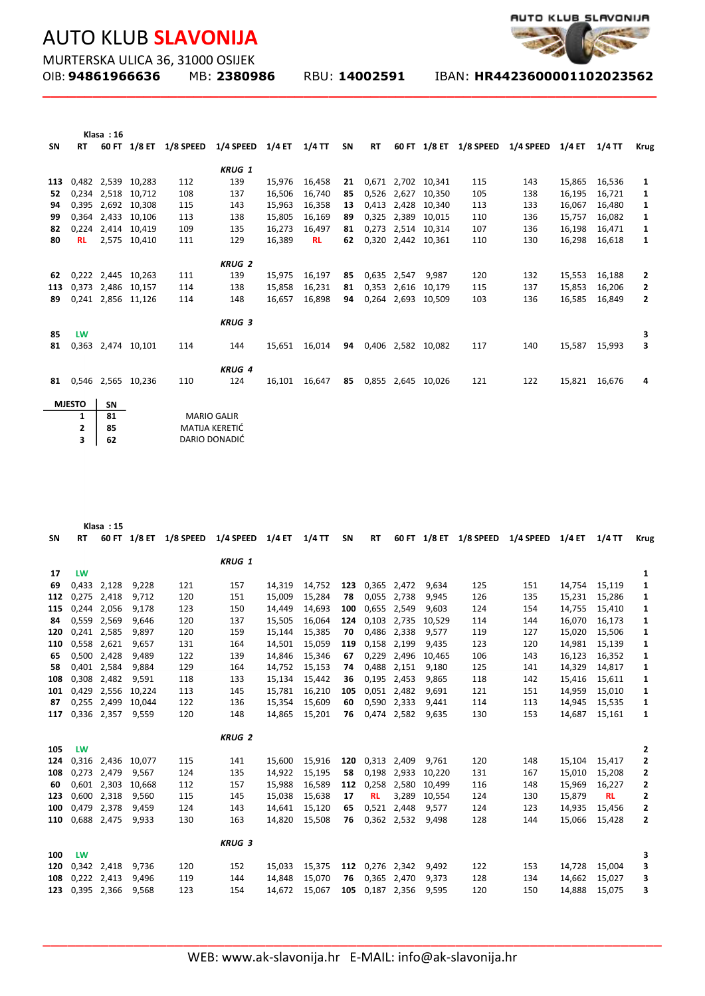

MURTERSKA ULICA 36, 31000 OSIJEK

**\_\_\_\_\_\_\_\_\_\_\_\_\_\_\_\_\_\_\_\_\_\_\_\_\_\_\_\_\_\_\_\_\_\_\_\_\_\_\_\_\_\_\_\_\_\_\_\_\_\_\_\_\_\_\_\_\_\_\_\_\_\_\_\_\_\_\_\_\_\_\_\_\_**

|           |           | Klasa: 16   |                    |           |               |               |           |    |           |       |                    |           |           |          |          |                |
|-----------|-----------|-------------|--------------------|-----------|---------------|---------------|-----------|----|-----------|-------|--------------------|-----------|-----------|----------|----------|----------------|
| <b>SN</b> | <b>RT</b> | 60 FT       | 1/8 ET             | 1/8 SPEED | 1/4 SPEED     | <b>1/4 ET</b> | $1/4$ TT  | SΝ | <b>RT</b> |       | 60 FT 1/8 ET       | 1/8 SPEED | 1/4 SPEED | $1/4$ ET | $1/4$ TT | <b>Krug</b>    |
|           |           |             |                    |           |               |               |           |    |           |       |                    |           |           |          |          |                |
|           |           |             |                    |           | <b>KRUG 1</b> |               |           |    |           |       |                    |           |           |          |          |                |
| 113       |           |             | 0,482 2,539 10,283 | 112       | 139           | 15,976        | 16,458    | 21 |           |       | 0,671 2,702 10,341 | 115       | 143       | 15,865   | 16,536   | 1              |
| 52        |           | 0,234 2,518 | 10,712             | 108       | 137           | 16,506        | 16,740    | 85 | 0,526     |       | 2,627 10,350       | 105       | 138       | 16,195   | 16,721   | 1              |
| 94        |           | 0,395 2,692 | 10,308             | 115       | 143           | 15,963        | 16,358    | 13 | 0,413     | 2,428 | 10,340             | 113       | 133       | 16,067   | 16,480   | 1              |
| 99        |           | 0,364 2,433 | 10,106             | 113       | 138           | 15,805        | 16,169    | 89 | 0,325     | 2,389 | 10,015             | 110       | 136       | 15,757   | 16,082   | 1              |
| 82        |           | 0,224 2,414 | 10.419             | 109       | 135           | 16,273        | 16,497    | 81 | 0,273     |       | 2,514 10,314       | 107       | 136       | 16,198   | 16,471   | 1              |
| 80        | <b>RL</b> |             | 2,575 10,410       | 111       | 129           | 16,389        | <b>RL</b> | 62 |           |       | 0,320 2,442 10,361 | 110       | 130       | 16,298   | 16,618   | 1              |
|           |           |             |                    |           |               |               |           |    |           |       |                    |           |           |          |          |                |
|           |           |             |                    |           | <b>KRUG 2</b> |               |           |    |           |       |                    |           |           |          |          |                |
| 62        |           | 0,222 2,445 | 10,263             | 111       | 139           | 15,975        | 16,197    | 85 | 0,635     | 2,547 | 9.987              | 120       | 132       | 15,553   | 16,188   | 2              |
| 113       |           | 0,373 2,486 | 10,157             | 114       | 138           | 15,858        | 16,231    | 81 | 0,353     | 2,616 | 10.179             | 115       | 137       | 15,853   | 16,206   | 2              |
| 89        |           |             | 0,241 2,856 11,126 | 114       | 148           | 16,657        | 16,898    | 94 | 0,264     |       | 2,693 10,509       | 103       | 136       | 16,585   | 16,849   | $\overline{2}$ |
|           |           |             |                    |           |               |               |           |    |           |       |                    |           |           |          |          |                |
|           |           |             |                    |           | <b>KRUG 3</b> |               |           |    |           |       |                    |           |           |          |          |                |
| 85        | LW        |             |                    |           |               |               |           |    |           |       |                    |           |           |          |          | 3              |
| 81        |           |             | 0,363 2,474 10,101 | 114       | 144           | 15,651        | 16,014    | 94 |           |       | 0,406 2,582 10,082 | 117       | 140       | 15,587   | 15,993   | 3              |
|           |           |             |                    |           |               |               |           |    |           |       |                    |           |           |          |          |                |
|           |           |             |                    |           | <b>KRUG 4</b> |               |           |    |           |       |                    |           |           |          |          |                |
| 81        |           |             | 0,546 2,565 10,236 | 110       | 124           | 16,101        | 16,647    | 85 |           |       | 0,855 2,645 10,026 | 121       | 122       | 15,821   | 16,676   | 4              |
|           |           |             |                    |           |               |               |           |    |           |       |                    |           |           |          |          |                |
|           |           |             |                    |           |               |               |           |    |           |       |                    |           |           |          |          |                |

| MJESTO I SN |                    |
|-------------|--------------------|
| 81          | <b>MARIO GALIR</b> |
| 85          | MATIJA KERETIĆ     |
| 62          | DARIO DONADIĆ      |
|             |                    |

|     |           | Klasa: 15   |                    |           |               |        |          |     |           |             |              |                        |                  |        |           |             |
|-----|-----------|-------------|--------------------|-----------|---------------|--------|----------|-----|-----------|-------------|--------------|------------------------|------------------|--------|-----------|-------------|
| SΝ  | <b>RT</b> |             | 60 FT 1/8 ET       | 1/8 SPEED | 1/4 SPEED     | 1/4 ET | $1/4$ TT | SN  | <b>RT</b> |             |              | 60 FT 1/8 ET 1/8 SPEED | 1/4 SPEED 1/4 ET |        | $1/4$ TT  | <b>Krug</b> |
|     |           |             |                    |           |               |        |          |     |           |             |              |                        |                  |        |           |             |
|     |           |             |                    |           | <b>KRUG 1</b> |        |          |     |           |             |              |                        |                  |        |           |             |
| 17  | LW        |             |                    |           |               |        |          |     |           |             |              |                        |                  |        |           | 1           |
| 69  | 0,433     | 2,128       | 9,228              | 121       | 157           | 14,319 | 14,752   | 123 |           | 0,365 2,472 | 9,634        | 125                    | 151              | 14,754 | 15,119    | 1           |
| 112 |           | 0,275 2,418 | 9,712              | 120       | 151           | 15,009 | 15,284   | 78  | 0,055     | 2,738       | 9,945        | 126                    | 135              | 15,231 | 15,286    | 1           |
| 115 | 0,244     | 2,056       | 9,178              | 123       | 150           | 14,449 | 14,693   | 100 | 0,655     | 2,549       | 9,603        | 124                    | 154              | 14,755 | 15,410    | 1           |
| 84  | 0,559     | 2,569       | 9,646              | 120       | 137           | 15,505 | 16,064   | 124 | 0,103     | 2,735       | 10.529       | 114                    | 144              | 16,070 | 16,173    | 1           |
| 120 |           | 0,241 2,585 | 9.897              | 120       | 159           | 15,144 | 15,385   | 70  | 0,486     | 2,338       | 9,577        | 119                    | 127              | 15,020 | 15,506    | 1           |
| 110 |           | 0,558 2,621 | 9,657              | 131       | 164           | 14,501 | 15,059   | 119 | 0,158     | 2,199       | 9,435        | 123                    | 120              | 14,981 | 15,139    | 1           |
| 65  |           | 0,500 2,428 | 9,489              | 122       | 139           | 14,846 | 15,346   | 67  |           | 0,229 2,496 | 10,465       | 106                    | 143              | 16,123 | 16,352    | 1           |
| 58  |           | 0,401 2,584 | 9,884              | 129       | 164           | 14,752 | 15,153   | 74  |           | 0,488 2,151 | 9,180        | 125                    | 141              | 14,329 | 14,817    | 1           |
| 108 | 0,308     | 2,482       | 9,591              | 118       | 133           | 15,134 | 15,442   | 36  | 0,195     | 2,453       | 9,865        | 118                    | 142              | 15,416 | 15,611    | 1           |
| 101 | 0.429     | 2,556       | 10,224             | 113       | 145           | 15,781 | 16,210   | 105 |           | 0,051 2,482 | 9.691        | 121                    | 151              | 14,959 | 15,010    | 1           |
| 87  |           | 0,255 2,499 | 10,044             | 122       | 136           | 15,354 | 15,609   | 60  |           | 0,590 2,333 | 9,441        | 114                    | 113              | 14,945 | 15,535    | 1           |
| 117 |           | 0,336 2,357 | 9,559              | 120       | 148           | 14,865 | 15,201   | 76  |           | 0,474 2,582 | 9,635        | 130                    | 153              | 14,687 | 15,161    | 1           |
|     |           |             |                    |           | <b>KRUG 2</b> |        |          |     |           |             |              |                        |                  |        |           |             |
| 105 | <b>LW</b> |             |                    |           |               |        |          |     |           |             |              |                        |                  |        |           | 2           |
| 124 |           |             | 0,316 2,436 10,077 | 115       | 141           | 15,600 | 15,916   | 120 |           | 0,313 2,409 | 9.761        | 120                    | 148              | 15,104 | 15,417    | 2           |
| 108 |           | 0,273 2,479 | 9,567              | 124       | 135           | 14,922 | 15,195   | 58  | 0,198     | 2,933       | 10,220       | 131                    | 167              | 15,010 | 15,208    | 2           |
| 60  |           | 0,601 2,303 | 10,668             | 112       | 157           | 15,988 | 16,589   | 112 | 0,258     | 2,580       | 10,499       | 116                    | 148              | 15,969 | 16,227    | 2           |
| 123 |           | 0,600 2,318 | 9,560              | 115       | 145           | 15,038 | 15,638   | 17  | <b>RL</b> |             | 3,289 10,554 | 124                    | 130              | 15,879 | <b>RL</b> | 2           |
| 100 | 0.479     | 2,378       | 9.459              | 124       | 143           | 14,641 | 15,120   | 65  |           | 0,521 2,448 | 9.577        | 124                    | 123              | 14,935 | 15,456    | 2           |
| 110 |           | 0,688 2,475 | 9.933              | 130       | 163           | 14.820 | 15,508   | 76  |           | 0,362 2,532 | 9.498        | 128                    | 144              | 15,066 | 15,428    | 2           |
|     |           |             |                    |           |               |        |          |     |           |             |              |                        |                  |        |           |             |
|     |           |             |                    |           | <b>KRUG 3</b> |        |          |     |           |             |              |                        |                  |        |           |             |
| 100 | <b>LW</b> |             |                    |           |               |        |          |     |           |             |              |                        |                  |        |           | 3           |
| 120 |           | 0,342 2,418 | 9,736              | 120       | 152           | 15,033 | 15,375   | 112 |           | 0,276 2,342 | 9,492        | 122                    | 153              | 14,728 | 15,004    | 3           |
| 108 |           | 0,222 2,413 | 9,496              | 119       | 144           | 14,848 | 15,070   | 76  |           | 0,365 2,470 | 9,373        | 128                    | 134              | 14,662 | 15,027    | 3           |
| 123 |           | 0,395 2,366 | 9,568              | 123       | 154           | 14,672 | 15,067   | 105 |           | 0,187 2,356 | 9,595        | 120                    | 150              | 14,888 | 15,075    | 3           |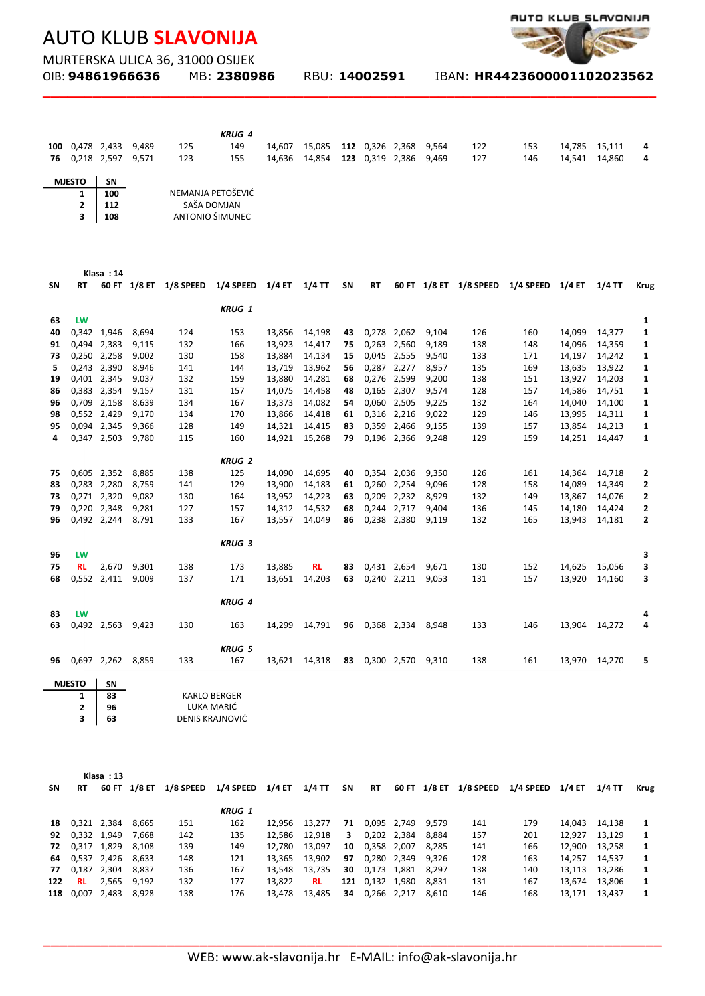

MURTERSKA ULICA 36, 31000 OSIJEK<br>OIB: **94861966636** MB: 23809

**\_\_\_\_\_\_\_\_\_\_\_\_\_\_\_\_\_\_\_\_\_\_\_\_\_\_\_\_\_\_\_\_\_\_\_\_\_\_\_\_\_\_\_\_\_\_\_\_\_\_\_\_\_\_\_\_\_\_\_\_\_\_\_\_\_\_\_\_\_\_\_\_\_**

OIB: **94861966636** MB: **2380986** RBU: **14002591** IBAN: **HR4423600001102023562** 

|    |                 |     |       |                   | <b>KRUG 4</b> |        |        |                 |       |     |     |        |        |   |
|----|-----------------|-----|-------|-------------------|---------------|--------|--------|-----------------|-------|-----|-----|--------|--------|---|
|    | 100 0,478 2,433 |     | 9.489 | 125               | 149           | 14,607 | 15,085 | 112 0,326 2,368 | 9.564 | 122 | 153 | 14,785 | 15,111 | 4 |
| 76 | 0,218 2,597     |     | 9,571 | 123               | 155           | 14,636 | 14,854 | 123 0,319 2,386 | 9,469 | 127 | 146 | 14,541 | 14,860 | 4 |
|    |                 |     |       |                   |               |        |        |                 |       |     |     |        |        |   |
|    | <b>MJESTO</b>   | SN  |       |                   |               |        |        |                 |       |     |     |        |        |   |
|    |                 | 100 |       | NEMANJA PETOŠEVIĆ |               |        |        |                 |       |     |     |        |        |   |
|    |                 | 112 |       | SAŠA DOMJAN       |               |        |        |                 |       |     |     |        |        |   |
|    |                 | 108 |       | ANTONIO ŠIMUNEC   |               |        |        |                 |       |     |     |        |        |   |

|    |           | Klasa: 14   |       |                        |                  |        |           |    |           |             |       |     |                                         |        |          |              |
|----|-----------|-------------|-------|------------------------|------------------|--------|-----------|----|-----------|-------------|-------|-----|-----------------------------------------|--------|----------|--------------|
| SΝ | <b>RT</b> |             |       | 60 FT 1/8 ET 1/8 SPEED | 1/4 SPEED 1/4 ET |        | $1/4$ TT  | SN | <b>RT</b> |             |       |     | 60 FT 1/8 ET 1/8 SPEED 1/4 SPEED 1/4 ET |        | $1/4$ TT | <b>Krug</b>  |
|    |           |             |       |                        | <b>KRUG 1</b>    |        |           |    |           |             |       |     |                                         |        |          |              |
| 63 | LW        |             |       |                        |                  |        |           |    |           |             |       |     |                                         |        |          | 1            |
| 40 |           | 0,342 1,946 | 8,694 | 124                    | 153              | 13,856 | 14,198    | 43 |           | 0,278 2,062 | 9,104 | 126 | 160                                     | 14,099 | 14,377   | 1            |
| 91 |           | 0,494 2,383 | 9,115 | 132                    | 166              | 13,923 | 14,417    | 75 |           | 0,263 2,560 | 9,189 | 138 | 148                                     | 14,096 | 14,359   | 1            |
| 73 |           | 0,250 2,258 | 9,002 | 130                    | 158              | 13,884 | 14,134    | 15 |           | 0,045 2,555 | 9,540 | 133 | 171                                     | 14,197 | 14,242   | 1            |
| 5  |           | 0,243 2,390 | 8,946 | 141                    | 144              | 13,719 | 13,962    | 56 | 0,287     | 2,277       | 8,957 | 135 | 169                                     | 13,635 | 13,922   | 1            |
| 19 |           | 0,401 2,345 | 9,037 | 132                    | 159              | 13,880 | 14,281    | 68 |           | 0,276 2,599 | 9,200 | 138 | 151                                     | 13,927 | 14,203   | 1            |
| 86 |           | 0,383 2,354 | 9,157 | 131                    | 157              | 14,075 | 14,458    | 48 |           | 0,165 2,307 | 9,574 | 128 | 157                                     | 14,586 | 14,751   | 1            |
| 96 |           | 0,709 2,158 | 8,639 | 134                    | 167              | 13,373 | 14,082    | 54 | 0,060     | 2,505       | 9,225 | 132 | 164                                     | 14,040 | 14,100   | 1            |
| 98 |           | 0,552 2,429 | 9,170 | 134                    | 170              | 13,866 | 14,418    | 61 |           | 0,316 2,216 | 9,022 | 129 | 146                                     | 13,995 | 14,311   | 1            |
| 95 |           | 0,094 2,345 | 9,366 | 128                    | 149              | 14,321 | 14,415    | 83 |           | 0,359 2,466 | 9,155 | 139 | 157                                     | 13,854 | 14,213   | 1            |
| 4  |           | 0,347 2,503 | 9,780 | 115                    | 160              | 14,921 | 15,268    | 79 |           | 0,196 2,366 | 9,248 | 129 | 159                                     | 14,251 | 14,447   | 1            |
|    |           |             |       |                        |                  |        |           |    |           |             |       |     |                                         |        |          |              |
|    |           |             |       |                        | <b>KRUG 2</b>    |        |           |    |           |             |       |     |                                         |        |          |              |
| 75 |           | 0,605 2,352 | 8,885 | 138                    | 125              | 14,090 | 14,695    | 40 |           | 0,354 2,036 | 9,350 | 126 | 161                                     | 14,364 | 14,718   | 2            |
| 83 |           | 0,283 2,280 | 8,759 | 141                    | 129              | 13,900 | 14,183    | 61 |           | 0,260 2,254 | 9,096 | 128 | 158                                     | 14,089 | 14,349   | 2            |
| 73 |           | 0,271 2,320 | 9,082 | 130                    | 164              | 13,952 | 14,223    | 63 |           | 0,209 2,232 | 8,929 | 132 | 149                                     | 13,867 | 14,076   | 2            |
| 79 |           | 0,220 2,348 | 9,281 | 127                    | 157              | 14,312 | 14,532    | 68 |           | 0,244 2,717 | 9,404 | 136 | 145                                     | 14,180 | 14,424   | 2            |
| 96 |           | 0,492 2,244 | 8,791 | 133                    | 167              | 13,557 | 14,049    | 86 |           | 0,238 2,380 | 9,119 | 132 | 165                                     | 13,943 | 14,181   | $\mathbf{2}$ |
|    |           |             |       |                        | <b>KRUG 3</b>    |        |           |    |           |             |       |     |                                         |        |          |              |
| 96 | LW        |             |       |                        |                  |        |           |    |           |             |       |     |                                         |        |          | з            |
| 75 | <b>RL</b> | 2,670       | 9,301 | 138                    | 173              | 13,885 | <b>RL</b> | 83 |           | 0,431 2,654 | 9,671 | 130 | 152                                     | 14,625 | 15,056   | з            |
| 68 |           | 0,552 2,411 | 9,009 | 137                    | 171              | 13,651 | 14,203    | 63 |           | 0,240 2,211 | 9,053 | 131 | 157                                     | 13,920 | 14,160   | з            |
|    |           |             |       |                        |                  |        |           |    |           |             |       |     |                                         |        |          |              |
|    |           |             |       |                        | <b>KRUG 4</b>    |        |           |    |           |             |       |     |                                         |        |          |              |
| 83 | LW        |             |       |                        |                  |        |           |    |           |             |       |     |                                         |        |          | 4            |
| 63 |           | 0,492 2,563 | 9,423 | 130                    | 163              | 14,299 | 14,791    | 96 |           | 0,368 2,334 | 8.948 | 133 | 146                                     | 13,904 | 14,272   | 4            |
|    |           |             |       |                        |                  |        |           |    |           |             |       |     |                                         |        |          |              |
|    |           |             |       |                        | <b>KRUG 5</b>    |        |           |    |           |             |       |     |                                         |        |          |              |
| 96 |           | 0,697 2,262 | 8,859 | 133                    | 167              | 13,621 | 14,318    | 83 |           | 0,300 2,570 | 9,310 | 138 | 161                                     | 13,970 | 14,270   | 5            |

| <b>MIFSTO</b> | ςN |                     |
|---------------|----|---------------------|
|               | 83 | <b>KARLO BERGER</b> |
|               | 96 | LUKA MARIĆ          |
|               | 63 | DENIS KRAJNOVIĆ     |

l,

|     |             | Klasa: 13       |        |           |               |        |           |    |                 |             |              |           |           |        |               |             |
|-----|-------------|-----------------|--------|-----------|---------------|--------|-----------|----|-----------------|-------------|--------------|-----------|-----------|--------|---------------|-------------|
| SN  | <b>RT</b>   | 60 FT           | 1/8 ET | 1/8 SPEED | 1/4 SPEED     | 1/4 ET | $1/4$ TT  | SΝ | <b>RT</b>       |             | 60 FT 1/8 ET | 1/8 SPEED | 1/4 SPEED | 1/4 ET | 1/4 TT        | <b>Krug</b> |
|     |             |                 |        |           | <b>KRUG 1</b> |        |           |    |                 |             |              |           |           |        |               |             |
| 18  |             | 0,321 2,384     | 8.665  | 151       | 162           | 12.956 | 13.277    | 71 |                 | 0,095 2,749 | 9.579        | 141       | 179       | 14.043 | 14.138        | 1           |
| 92  | 0,332 1,949 |                 | 7.668  | 142       | 135           | 12.586 | 12.918    | 3. |                 | 0,202 2,384 | 8.884        | 157       | 201       | 12.927 | 13.129        | -1          |
|     |             | 72 0,317 1,829  | 8.108  | 139       | 149           | 12.780 | 13.097    | 10 | 0,358 2,007     |             | 8.285        | 141       | 166       |        | 12,900 13,258 | 1           |
|     |             | 64 0,537 2,426  | 8.633  | 148       | 121           | 13.365 | 13,902    | 97 |                 | 0,280 2,349 | 9.326        | 128       | 163       | 14,257 | 14,537        | 1           |
| 77  |             | 0,187 2,304     | 8.837  | 136       | 167           | 13.548 | 13,735    | 30 | 0,173 1,881     |             | 8.297        | 138       | 140       |        | 13,113 13,286 | 1           |
| 122 | <b>RL</b>   | 2,565           | 9.192  | 132       | 177           | 13.822 | <b>RL</b> |    | 121 0,132 1,980 |             | 8.831        | 131       | 167       | 13,674 | 13,806        | 1           |
|     |             | 118 0,007 2,483 | 8.928  | 138       | 176           | 13.478 | 13.485    | 34 |                 | 0,266 2,217 | 8.610        | 146       | 168       | 13.171 | 13.437        | 1           |
|     |             |                 |        |           |               |        |           |    |                 |             |              |           |           |        |               |             |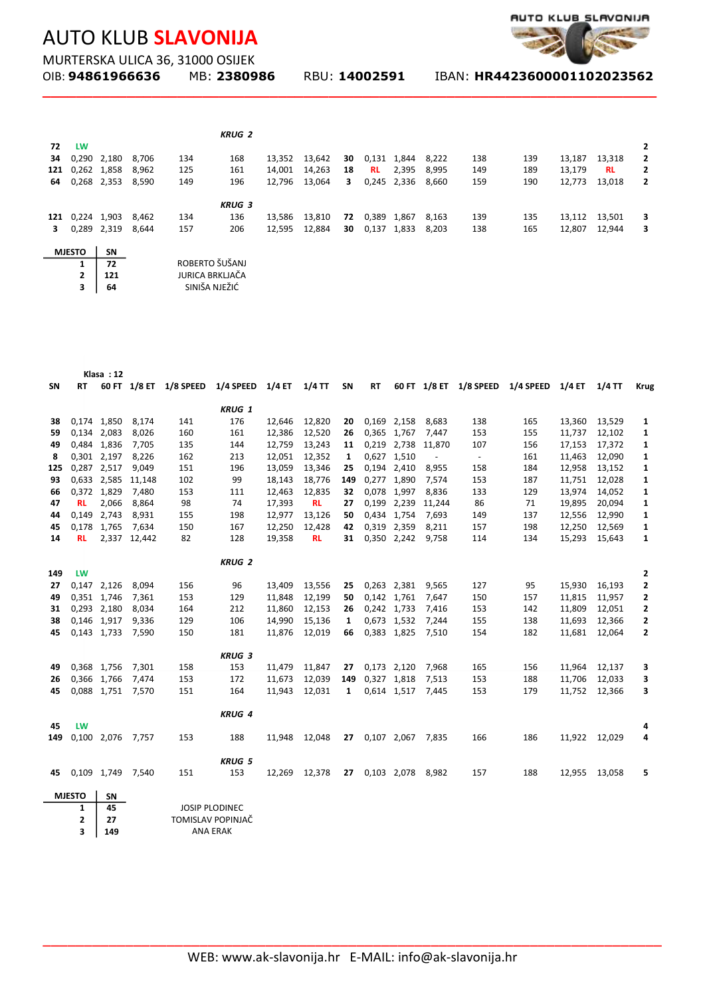

MURTERSKA ULICA 36, 31000 OSIJEK<br>OIB: **94861966636** MB: 23809

**\_\_\_\_\_\_\_\_\_\_\_\_\_\_\_\_\_\_\_\_\_\_\_\_\_\_\_\_\_\_\_\_\_\_\_\_\_\_\_\_\_\_\_\_\_\_\_\_\_\_\_\_\_\_\_\_\_\_\_\_\_\_\_\_\_\_\_\_\_\_\_\_\_**

OIB: **94861966636** MB: **2380986** RBU: **14002591** IBAN: **HR4423600001102023562** 

|     |               |             |       |     | <b>KRUG 2</b>          |        |        |    |           |             |       |     |     |        |           |   |
|-----|---------------|-------------|-------|-----|------------------------|--------|--------|----|-----------|-------------|-------|-----|-----|--------|-----------|---|
| 72  | LW            |             |       |     |                        |        |        |    |           |             |       |     |     |        |           | 2 |
| 34  |               | 0,290 2,180 | 8.706 | 134 | 168                    | 13,352 | 13,642 | 30 | 0,131     | 1,844       | 8,222 | 138 | 139 | 13,187 | 13,318    | 2 |
| 121 | 0,262 1,858   |             | 8,962 | 125 | 161                    | 14,001 | 14,263 | 18 | <b>RL</b> | 2,395       | 8,995 | 149 | 189 | 13,179 | <b>RL</b> | 2 |
| 64  |               | 0,268 2,353 | 8,590 | 149 | 196                    | 12,796 | 13,064 | 3  |           | 0,245 2,336 | 8,660 | 159 | 190 | 12,773 | 13,018    | 2 |
|     |               |             |       |     | <b>KRUG 3</b>          |        |        |    |           |             |       |     |     |        |           |   |
| 121 | 0,224 1,903   |             | 8,462 | 134 | 136                    | 13,586 | 13,810 | 72 | 0,389     | 1,867       | 8,163 | 139 | 135 | 13,112 | 13,501    | з |
| 3   |               | 0,289 2,319 | 8.644 | 157 | 206                    | 12,595 | 12,884 | 30 | 0,137     | 1,833       | 8,203 | 138 | 165 | 12,807 | 12,944    | 3 |
|     | <b>MJESTO</b> | <b>SN</b>   |       |     |                        |        |        |    |           |             |       |     |     |        |           |   |
|     | 1             | 72          |       |     | ROBERTO ŠUŠANJ         |        |        |    |           |             |       |     |     |        |           |   |
|     | 2             | 121         |       |     | <b>JURICA BRKLJAČA</b> |        |        |    |           |             |       |     |     |        |           |   |
|     | 3             | 64          |       |     | SINIŠA NJEŽIĆ          |        |        |    |           |             |       |     |     |        |           |   |

|     |               | Klasa: 12   |              |                        |                       |        |           |           |             |             |                          |                             |                                         |               |          |              |
|-----|---------------|-------------|--------------|------------------------|-----------------------|--------|-----------|-----------|-------------|-------------|--------------------------|-----------------------------|-----------------------------------------|---------------|----------|--------------|
| SN  | <b>RT</b>     |             |              | 60 FT 1/8 ET 1/8 SPEED | 1/4 SPEED 1/4 ET      |        | $1/4$ TT  | <b>SN</b> | <b>RT</b>   |             |                          |                             | 60 FT 1/8 ET 1/8 SPEED 1/4 SPEED 1/4 ET |               | $1/4$ TT | <b>Krug</b>  |
|     |               |             |              |                        | <b>KRUG 1</b>         |        |           |           |             |             |                          |                             |                                         |               |          |              |
| 38  |               | 0,174 1,850 | 8,174        | 141                    | 176                   | 12,646 | 12,820    | 20        |             | 0,169 2,158 | 8,683                    | 138                         | 165                                     | 13,360        | 13,529   | 1            |
| 59  |               | 0,134 2,083 | 8,026        | 160                    | 161                   | 12,386 | 12,520    | 26        |             | 0,365 1,767 | 7,447                    | 153                         | 155                                     | 11,737        | 12,102   | 1            |
| 49  |               | 0,484 1,836 | 7,705        | 135                    | 144                   | 12,759 | 13,243    | 11        |             |             | 0,219 2,738 11,870       | 107                         | 156                                     | 17,153        | 17,372   | 1            |
| 8   |               | 0,301 2,197 | 8,226        | 162                    | 213                   | 12,051 | 12,352    | 1         | 0,627 1,510 |             | $\overline{\phantom{a}}$ | $\mathcal{L}_{\mathcal{A}}$ | 161                                     | 11,463        | 12,090   | 1            |
| 125 |               | 0,287 2,517 | 9,049        | 151                    | 196                   | 13,059 | 13,346    | 25        | 0,194 2,410 |             | 8,955                    | 158                         | 184                                     | 12,958        | 13,152   | 1            |
| 93  |               | 0,633 2,585 | 11,148       | 102                    | 99                    | 18,143 | 18,776    | 149       | 0,277 1,890 |             | 7,574                    | 153                         | 187                                     | 11,751        | 12,028   | 1            |
| 66  |               | 0,372 1,829 | 7,480        | 153                    | 111                   | 12,463 | 12,835    | 32        |             | 0,078 1,997 | 8,836                    | 133                         | 129                                     | 13,974        | 14,052   | 1            |
| 47  | <b>RL</b>     | 2,066       | 8,864        | 98                     | 74                    | 17,393 | <b>RL</b> | 27        |             | 0,199 2,239 | 11,244                   | 86                          | 71                                      | 19,895        | 20,094   | 1            |
| 44  |               | 0,149 2,743 | 8,931        | 155                    | 198                   | 12,977 | 13,126    | 50        |             | 0,434 1,754 | 7,693                    | 149                         | 137                                     | 12,556        | 12,990   | 1            |
| 45  |               | 0,178 1,765 | 7,634        | 150                    | 167                   | 12,250 | 12,428    | 42        |             | 0,319 2,359 | 8,211                    | 157                         | 198                                     | 12,250        | 12,569   | 1            |
| 14  | <b>RL</b>     |             | 2,337 12,442 | 82                     | 128                   | 19,358 | <b>RL</b> | 31        |             | 0,350 2,242 | 9,758                    | 114                         | 134                                     | 15,293        | 15,643   | 1            |
|     |               |             |              |                        |                       |        |           |           |             |             |                          |                             |                                         |               |          |              |
|     |               |             |              |                        | <b>KRUG 2</b>         |        |           |           |             |             |                          |                             |                                         |               |          |              |
| 149 | <b>LW</b>     |             |              |                        |                       |        |           |           |             |             |                          |                             |                                         |               |          | 2            |
| 27  |               | 0,147 2,126 | 8,094        | 156                    | 96                    | 13,409 | 13,556    | 25        |             | 0,263 2,381 | 9,565                    | 127                         | 95                                      | 15,930        | 16,193   | $\mathbf{2}$ |
| 49  |               | 0,351 1,746 | 7,361        | 153                    | 129                   | 11,848 | 12,199    | 50        |             | 0,142 1,761 | 7,647                    | 150                         | 157                                     | 11,815        | 11,957   | 2            |
| 31  |               | 0,293 2,180 | 8,034        | 164                    | 212                   | 11,860 | 12,153    | 26        |             | 0,242 1,733 | 7,416                    | 153                         | 142                                     | 11,809        | 12,051   | 2            |
| 38  |               | 0,146 1,917 | 9,336        | 129                    | 106                   | 14,990 | 15,136    | 1         |             | 0,673 1,532 | 7,244                    | 155                         | 138                                     | 11,693        | 12,366   | 2            |
| 45  |               | 0,143 1,733 | 7,590        | 150                    | 181                   | 11,876 | 12,019    | 66        |             | 0,383 1,825 | 7,510                    | 154                         | 182                                     | 11,681        | 12,064   | $\mathbf{z}$ |
|     |               |             |              |                        | <b>KRUG 3</b>         |        |           |           |             |             |                          |                             |                                         |               |          |              |
| 49  |               | 0,368 1,756 | 7,301        | 158                    | 153                   | 11,479 | 11,847    | 27        | 0,173 2,120 |             | 7,968                    | 165                         | 156                                     | 11,964        | 12,137   | 3            |
| 26  |               | 0,366 1,766 | 7,474        | 153                    | 172                   | 11,673 | 12,039    | 149       | 0,327 1,818 |             | 7,513                    | 153                         | 188                                     | 11,706        | 12,033   | 3            |
| 45  |               | 0,088 1,751 | 7,570        | 151                    | 164                   | 11,943 | 12,031    | 1         |             | 0,614 1,517 | 7,445                    | 153                         | 179                                     | 11,752        | 12,366   | 3            |
|     |               |             |              |                        |                       |        |           |           |             |             |                          |                             |                                         |               |          |              |
|     |               |             |              |                        | <b>KRUG 4</b>         |        |           |           |             |             |                          |                             |                                         |               |          |              |
| 45  | LW            |             |              |                        |                       |        |           |           |             |             |                          |                             |                                         |               |          | 4            |
| 149 |               | 0,100 2,076 | 7,757        | 153                    | 188                   | 11,948 | 12,048    | 27        | 0,107 2,067 |             | 7,835                    | 166                         | 186                                     | 11,922 12,029 |          | 4            |
|     |               |             |              |                        |                       |        |           |           |             |             |                          |                             |                                         |               |          |              |
|     |               |             |              |                        | <b>KRUG 5</b>         |        |           |           |             |             |                          |                             |                                         |               |          |              |
| 45  |               | 0,109 1,749 | 7.540        | 151                    | 153                   | 12,269 | 12,378    | 27        | 0,103 2,078 |             | 8,982                    | 157                         | 188                                     | 12,955        | 13,058   | 5            |
|     | <b>MJESTO</b> | SN          |              |                        |                       |        |           |           |             |             |                          |                             |                                         |               |          |              |
|     | 1             | 45          |              |                        | <b>JOSIP PLODINEC</b> |        |           |           |             |             |                          |                             |                                         |               |          |              |
|     | $\mathbf{2}$  | 27          |              |                        | TOMISLAV POPINJAČ     |        |           |           |             |             |                          |                             |                                         |               |          |              |
|     | 3             | 149         |              |                        | <b>ANA ERAK</b>       |        |           |           |             |             |                          |                             |                                         |               |          |              |

\_\_\_\_\_\_\_\_\_\_\_\_\_\_\_\_\_\_\_\_\_\_\_\_\_\_\_\_\_\_\_\_\_\_\_\_\_\_\_\_\_\_\_\_\_\_\_\_\_\_\_\_\_\_\_\_\_\_\_\_\_\_\_\_\_\_\_\_\_\_\_\_\_\_\_ WEB: www.ak-slavonija.hr E-MAIL: info@ak-slavonija.hr